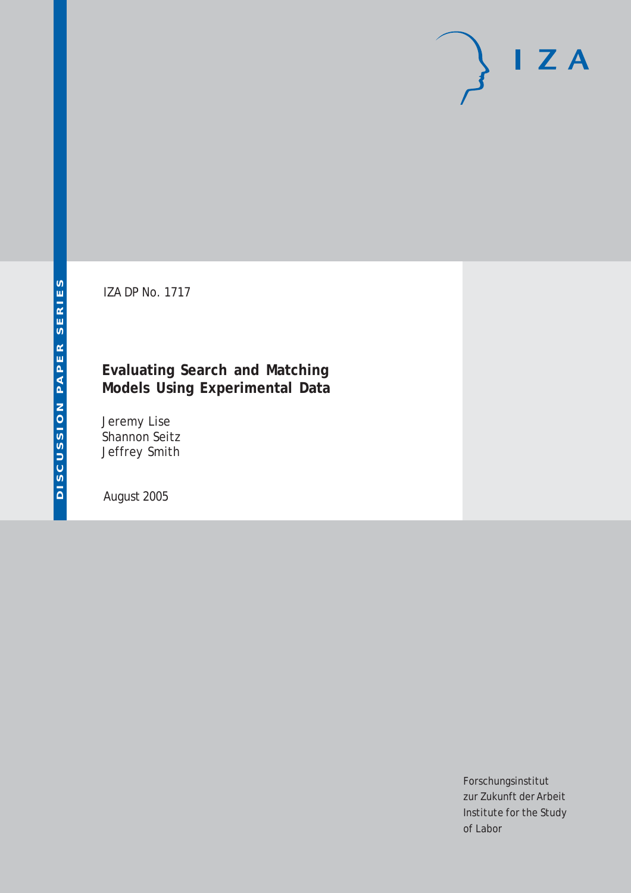# $I Z A$

IZA DP No. 1717

# **Evaluating Search and Matching Models Using Experimental Data**

Jeremy Lise Shannon Seitz Jeffrey Smith

August 2005

Forschungsinstitut zur Zukunft der Arbeit Institute for the Study of Labor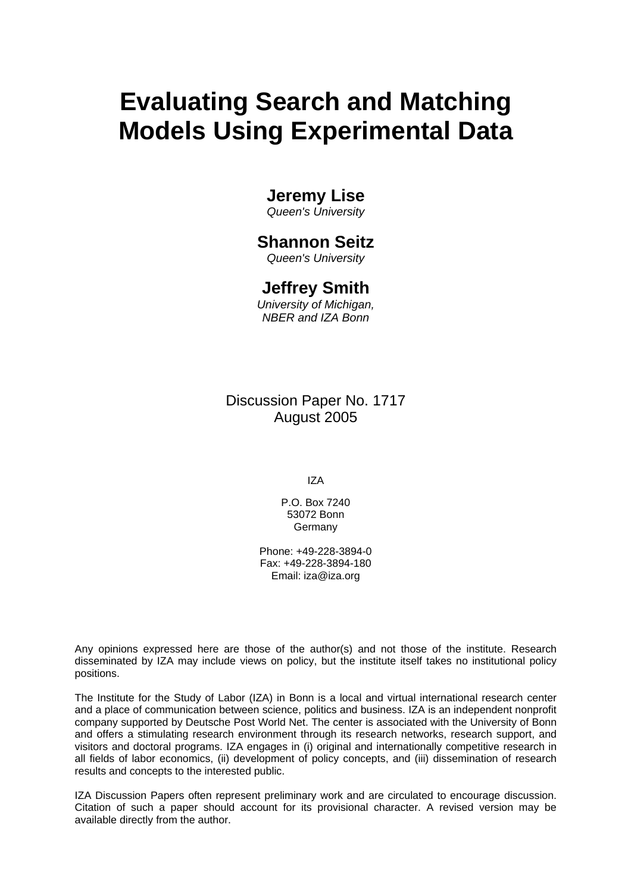# **Evaluating Search and Matching Models Using Experimental Data**

# **Jeremy Lise**

*Queen's University* 

# **Shannon Seitz**

*Queen's University* 

# **Jeffrey Smith**

*University of Michigan, NBER and IZA Bonn* 

Discussion Paper No. 1717 August 2005

IZA

P.O. Box 7240 53072 Bonn Germany

Phone: +49-228-3894-0 Fax: +49-228-3894-180 Email: [iza@iza.org](mailto:iza@iza.org)

Any opinions expressed here are those of the author(s) and not those of the institute. Research disseminated by IZA may include views on policy, but the institute itself takes no institutional policy positions.

The Institute for the Study of Labor (IZA) in Bonn is a local and virtual international research center and a place of communication between science, politics and business. IZA is an independent nonprofit company supported by Deutsche Post World Net. The center is associated with the University of Bonn and offers a stimulating research environment through its research networks, research support, and visitors and doctoral programs. IZA engages in (i) original and internationally competitive research in all fields of labor economics, (ii) development of policy concepts, and (iii) dissemination of research results and concepts to the interested public.

IZA Discussion Papers often represent preliminary work and are circulated to encourage discussion. Citation of such a paper should account for its provisional character. A revised version may be available directly from the author.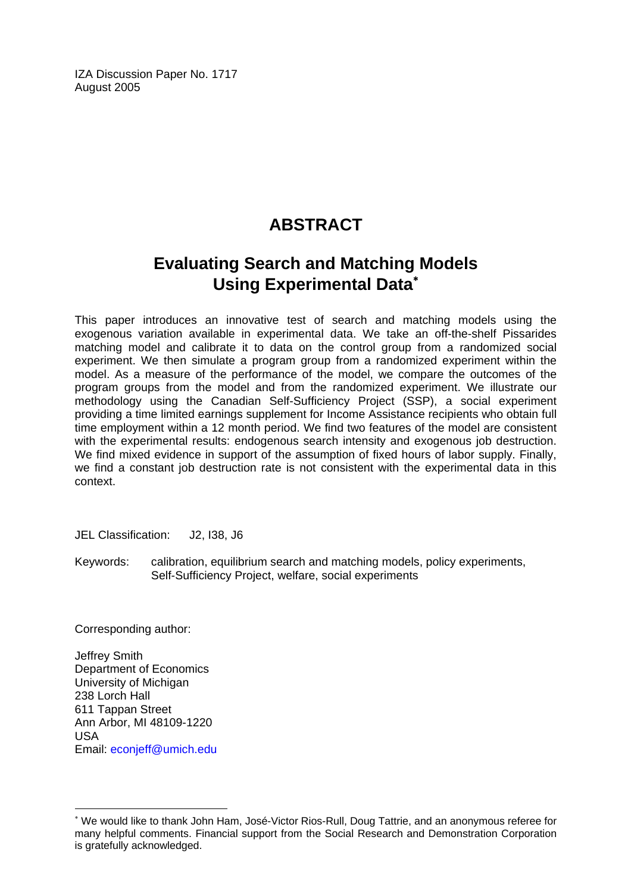IZA Discussion Paper No. 1717 August 2005

# **ABSTRACT**

# **Evaluating Search and Matching Models Using Experimental Data**[∗](#page-2-0)

This paper introduces an innovative test of search and matching models using the exogenous variation available in experimental data. We take an off-the-shelf Pissarides matching model and calibrate it to data on the control group from a randomized social experiment. We then simulate a program group from a randomized experiment within the model. As a measure of the performance of the model, we compare the outcomes of the program groups from the model and from the randomized experiment. We illustrate our methodology using the Canadian Self-Sufficiency Project (SSP), a social experiment providing a time limited earnings supplement for Income Assistance recipients who obtain full time employment within a 12 month period. We find two features of the model are consistent with the experimental results: endogenous search intensity and exogenous job destruction. We find mixed evidence in support of the assumption of fixed hours of labor supply. Finally, we find a constant job destruction rate is not consistent with the experimental data in this context.

JEL Classification: J2, I38, J6

Keywords: calibration, equilibrium search and matching models, policy experiments, Self-Sufficiency Project, welfare, social experiments

Corresponding author:

Jeffrey Smith Department of Economics University of Michigan 238 Lorch Hall 611 Tappan Street Ann Arbor, MI 48109-1220 USA Email: [econjeff@umich.edu](mailto:econjeff@umich.edu) 

 $\overline{a}$ 

<span id="page-2-0"></span><sup>∗</sup> We would like to thank John Ham, José-Victor Rios-Rull, Doug Tattrie, and an anonymous referee for many helpful comments. Financial support from the Social Research and Demonstration Corporation is gratefully acknowledged.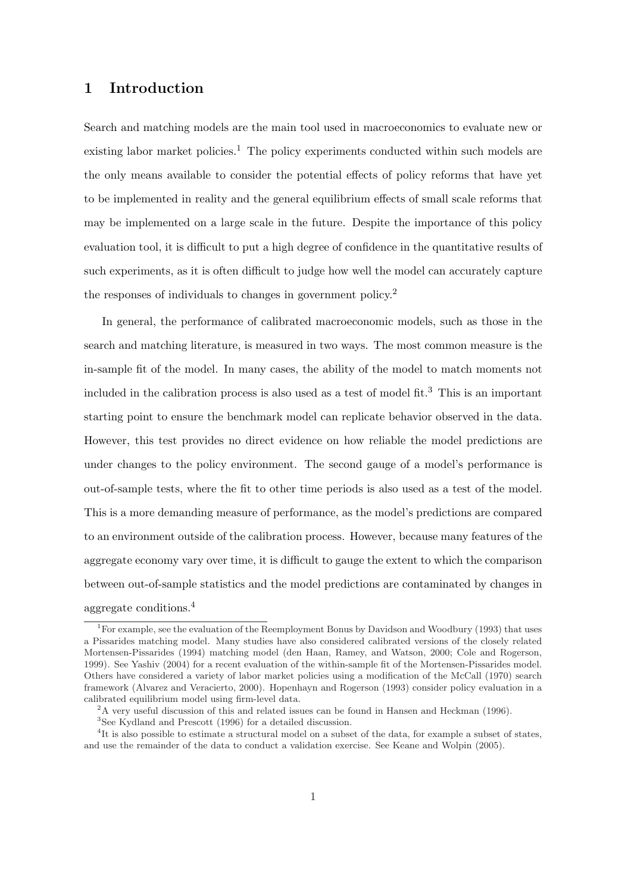### 1 Introduction

Search and matching models are the main tool used in macroeconomics to evaluate new or existing labor market policies.<sup>1</sup> The policy experiments conducted within such models are the only means available to consider the potential effects of policy reforms that have yet to be implemented in reality and the general equilibrium effects of small scale reforms that may be implemented on a large scale in the future. Despite the importance of this policy evaluation tool, it is difficult to put a high degree of confidence in the quantitative results of such experiments, as it is often difficult to judge how well the model can accurately capture the responses of individuals to changes in government policy.<sup>2</sup>

In general, the performance of calibrated macroeconomic models, such as those in the search and matching literature, is measured in two ways. The most common measure is the in-sample fit of the model. In many cases, the ability of the model to match moments not included in the calibration process is also used as a test of model  $\text{fit}^3$ . This is an important starting point to ensure the benchmark model can replicate behavior observed in the data. However, this test provides no direct evidence on how reliable the model predictions are under changes to the policy environment. The second gauge of a model's performance is out-of-sample tests, where the fit to other time periods is also used as a test of the model. This is a more demanding measure of performance, as the model's predictions are compared to an environment outside of the calibration process. However, because many features of the aggregate economy vary over time, it is difficult to gauge the extent to which the comparison between out-of-sample statistics and the model predictions are contaminated by changes in aggregate conditions.<sup>4</sup>

<sup>&</sup>lt;sup>1</sup>For example, see the evaluation of the Reemployment Bonus by Davidson and Woodbury (1993) that uses a Pissarides matching model. Many studies have also considered calibrated versions of the closely related Mortensen-Pissarides (1994) matching model (den Haan, Ramey, and Watson, 2000; Cole and Rogerson, 1999). See Yashiv (2004) for a recent evaluation of the within-sample fit of the Mortensen-Pissarides model. Others have considered a variety of labor market policies using a modification of the McCall (1970) search framework (Alvarez and Veracierto, 2000). Hopenhayn and Rogerson (1993) consider policy evaluation in a calibrated equilibrium model using firm-level data.

<sup>&</sup>lt;sup>2</sup>A very useful discussion of this and related issues can be found in Hansen and Heckman (1996).

<sup>&</sup>lt;sup>3</sup>See Kydland and Prescott (1996) for a detailed discussion.

<sup>&</sup>lt;sup>4</sup>It is also possible to estimate a structural model on a subset of the data, for example a subset of states, and use the remainder of the data to conduct a validation exercise. See Keane and Wolpin (2005).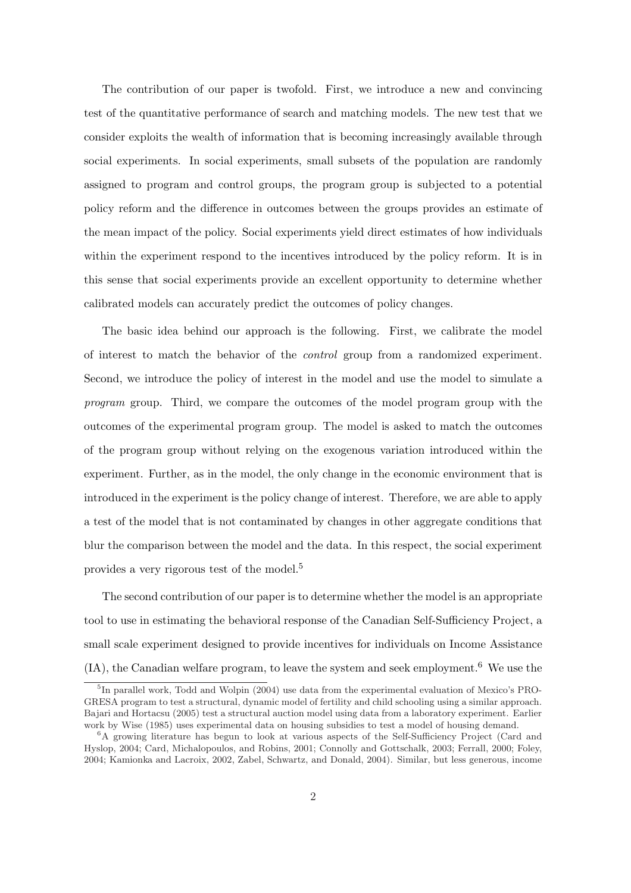The contribution of our paper is twofold. First, we introduce a new and convincing test of the quantitative performance of search and matching models. The new test that we consider exploits the wealth of information that is becoming increasingly available through social experiments. In social experiments, small subsets of the population are randomly assigned to program and control groups, the program group is subjected to a potential policy reform and the difference in outcomes between the groups provides an estimate of the mean impact of the policy. Social experiments yield direct estimates of how individuals within the experiment respond to the incentives introduced by the policy reform. It is in this sense that social experiments provide an excellent opportunity to determine whether calibrated models can accurately predict the outcomes of policy changes.

The basic idea behind our approach is the following. First, we calibrate the model of interest to match the behavior of the control group from a randomized experiment. Second, we introduce the policy of interest in the model and use the model to simulate a program group. Third, we compare the outcomes of the model program group with the outcomes of the experimental program group. The model is asked to match the outcomes of the program group without relying on the exogenous variation introduced within the experiment. Further, as in the model, the only change in the economic environment that is introduced in the experiment is the policy change of interest. Therefore, we are able to apply a test of the model that is not contaminated by changes in other aggregate conditions that blur the comparison between the model and the data. In this respect, the social experiment provides a very rigorous test of the model.<sup>5</sup>

The second contribution of our paper is to determine whether the model is an appropriate tool to use in estimating the behavioral response of the Canadian Self-Sufficiency Project, a small scale experiment designed to provide incentives for individuals on Income Assistance  $(IA)$ , the Canadian welfare program, to leave the system and seek employment.<sup>6</sup> We use the

<sup>&</sup>lt;sup>5</sup>In parallel work, Todd and Wolpin (2004) use data from the experimental evaluation of Mexico's PRO-GRESA program to test a structural, dynamic model of fertility and child schooling using a similar approach. Bajari and Hortacsu (2005) test a structural auction model using data from a laboratory experiment. Earlier work by Wise (1985) uses experimental data on housing subsidies to test a model of housing demand.

<sup>6</sup>A growing literature has begun to look at various aspects of the Self-Sufficiency Project (Card and Hyslop, 2004; Card, Michalopoulos, and Robins, 2001; Connolly and Gottschalk, 2003; Ferrall, 2000; Foley, 2004; Kamionka and Lacroix, 2002, Zabel, Schwartz, and Donald, 2004). Similar, but less generous, income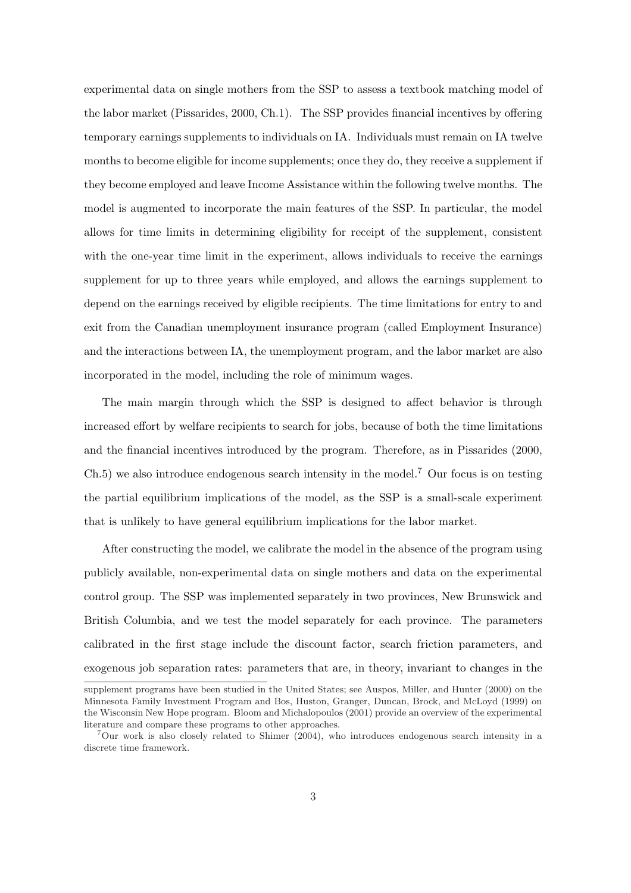experimental data on single mothers from the SSP to assess a textbook matching model of the labor market (Pissarides, 2000, Ch.1). The SSP provides financial incentives by offering temporary earnings supplements to individuals on IA. Individuals must remain on IA twelve months to become eligible for income supplements; once they do, they receive a supplement if they become employed and leave Income Assistance within the following twelve months. The model is augmented to incorporate the main features of the SSP. In particular, the model allows for time limits in determining eligibility for receipt of the supplement, consistent with the one-year time limit in the experiment, allows individuals to receive the earnings supplement for up to three years while employed, and allows the earnings supplement to depend on the earnings received by eligible recipients. The time limitations for entry to and exit from the Canadian unemployment insurance program (called Employment Insurance) and the interactions between IA, the unemployment program, and the labor market are also incorporated in the model, including the role of minimum wages.

The main margin through which the SSP is designed to affect behavior is through increased effort by welfare recipients to search for jobs, because of both the time limitations and the financial incentives introduced by the program. Therefore, as in Pissarides (2000,  $Ch.5$ ) we also introduce endogenous search intensity in the model.<sup>7</sup> Our focus is on testing the partial equilibrium implications of the model, as the SSP is a small-scale experiment that is unlikely to have general equilibrium implications for the labor market.

After constructing the model, we calibrate the model in the absence of the program using publicly available, non-experimental data on single mothers and data on the experimental control group. The SSP was implemented separately in two provinces, New Brunswick and British Columbia, and we test the model separately for each province. The parameters calibrated in the first stage include the discount factor, search friction parameters, and exogenous job separation rates: parameters that are, in theory, invariant to changes in the

supplement programs have been studied in the United States; see Auspos, Miller, and Hunter (2000) on the Minnesota Family Investment Program and Bos, Huston, Granger, Duncan, Brock, and McLoyd (1999) on the Wisconsin New Hope program. Bloom and Michalopoulos (2001) provide an overview of the experimental literature and compare these programs to other approaches.

<sup>7</sup>Our work is also closely related to Shimer (2004), who introduces endogenous search intensity in a discrete time framework.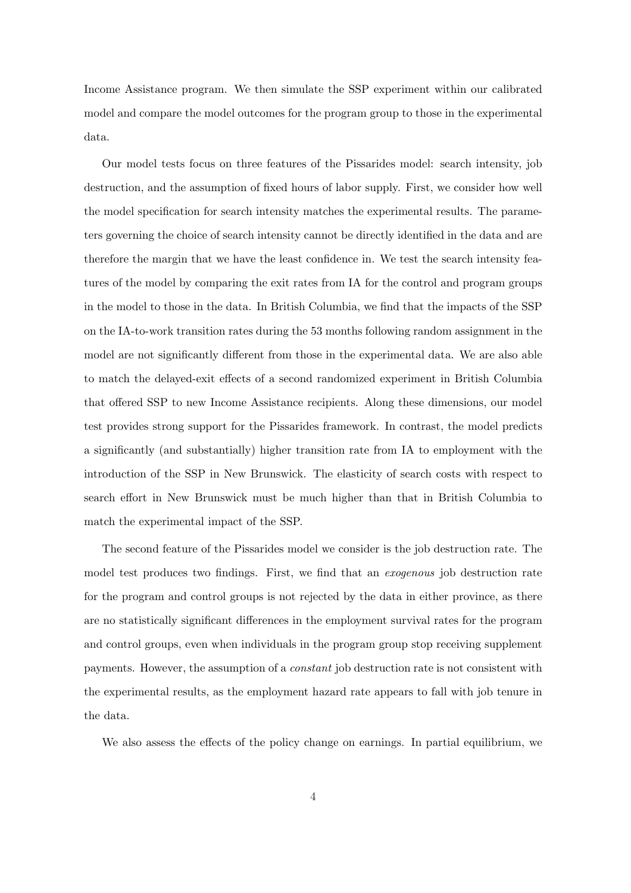Income Assistance program. We then simulate the SSP experiment within our calibrated model and compare the model outcomes for the program group to those in the experimental data.

Our model tests focus on three features of the Pissarides model: search intensity, job destruction, and the assumption of fixed hours of labor supply. First, we consider how well the model specification for search intensity matches the experimental results. The parameters governing the choice of search intensity cannot be directly identified in the data and are therefore the margin that we have the least confidence in. We test the search intensity features of the model by comparing the exit rates from IA for the control and program groups in the model to those in the data. In British Columbia, we find that the impacts of the SSP on the IA-to-work transition rates during the 53 months following random assignment in the model are not significantly different from those in the experimental data. We are also able to match the delayed-exit effects of a second randomized experiment in British Columbia that offered SSP to new Income Assistance recipients. Along these dimensions, our model test provides strong support for the Pissarides framework. In contrast, the model predicts a significantly (and substantially) higher transition rate from IA to employment with the introduction of the SSP in New Brunswick. The elasticity of search costs with respect to search effort in New Brunswick must be much higher than that in British Columbia to match the experimental impact of the SSP.

The second feature of the Pissarides model we consider is the job destruction rate. The model test produces two findings. First, we find that an *exogenous* job destruction rate for the program and control groups is not rejected by the data in either province, as there are no statistically significant differences in the employment survival rates for the program and control groups, even when individuals in the program group stop receiving supplement payments. However, the assumption of a constant job destruction rate is not consistent with the experimental results, as the employment hazard rate appears to fall with job tenure in the data.

We also assess the effects of the policy change on earnings. In partial equilibrium, we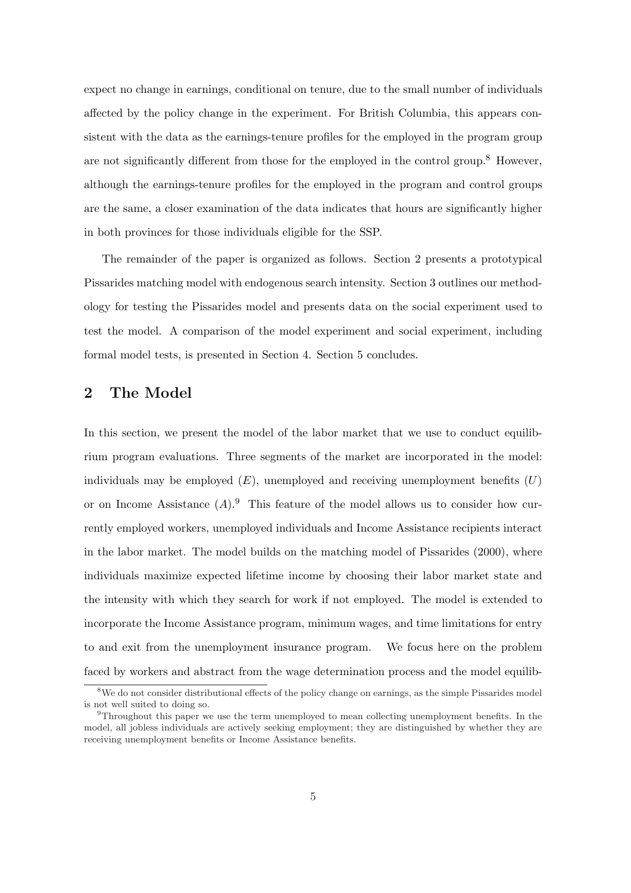expect no change in earnings, conditional on tenure, due to the small number of individuals affected by the policy change in the experiment. For British Columbia, this appears consistent with the data as the earnings-tenure profiles for the employed in the program group are not significantly different from those for the employed in the control group.<sup>8</sup> However, although the earnings-tenure profiles for the employed in the program and control groups are the same, a closer examination of the data indicates that hours are significantly higher in both provinces for those individuals eligible for the SSP.

The remainder of the paper is organized as follows. Section 2 presents a prototypical Pissarides matching model with endogenous search intensity. Section 3 outlines our methodology for testing the Pissarides model and presents data on the social experiment used to test the model. A comparison of the model experiment and social experiment, including formal model tests, is presented in Section 4. Section 5 concludes.

### 2 The Model

In this section, we present the model of the labor market that we use to conduct equilibrium program evaluations. Three segments of the market are incorporated in the model: individuals may be employed  $(E)$ , unemployed and receiving unemployment benefits  $(U)$ or on Income Assistance  $(A)$ . This feature of the model allows us to consider how currently employed workers, unemployed individuals and Income Assistance recipients interact in the labor market. The model builds on the matching model of Pissarides (2000), where individuals maximize expected lifetime income by choosing their labor market state and the intensity with which they search for work if not employed. The model is extended to incorporate the Income Assistance program, minimum wages, and time limitations for entry to and exit from the unemployment insurance program. We focus here on the problem faced by workers and abstract from the wage determination process and the model equilib-

<sup>&</sup>lt;sup>8</sup>We do not consider distributional effects of the policy change on earnings, as the simple Pissarides model is not well suited to doing so.

<sup>9</sup>Throughout this paper we use the term unemployed to mean collecting unemployment benefits. In the model, all jobless individuals are actively seeking employment; they are distinguished by whether they are receiving unemployment benefits or Income Assistance benefits.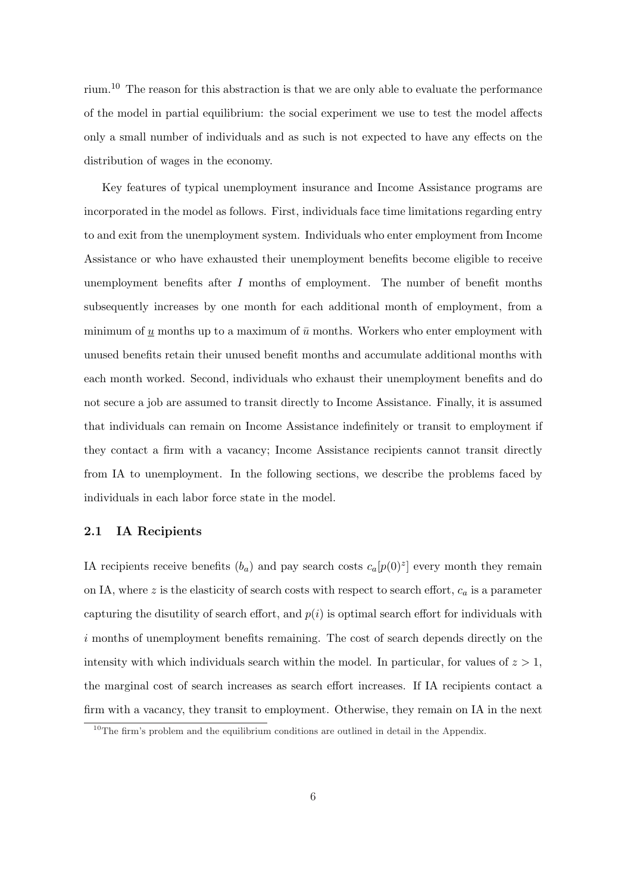rium.<sup>10</sup> The reason for this abstraction is that we are only able to evaluate the performance of the model in partial equilibrium: the social experiment we use to test the model affects only a small number of individuals and as such is not expected to have any effects on the distribution of wages in the economy.

Key features of typical unemployment insurance and Income Assistance programs are incorporated in the model as follows. First, individuals face time limitations regarding entry to and exit from the unemployment system. Individuals who enter employment from Income Assistance or who have exhausted their unemployment benefits become eligible to receive unemployment benefits after  $I$  months of employment. The number of benefit months subsequently increases by one month for each additional month of employment, from a minimum of u months up to a maximum of  $\bar{u}$  months. Workers who enter employment with unused benefits retain their unused benefit months and accumulate additional months with each month worked. Second, individuals who exhaust their unemployment benefits and do not secure a job are assumed to transit directly to Income Assistance. Finally, it is assumed that individuals can remain on Income Assistance indefinitely or transit to employment if they contact a firm with a vacancy; Income Assistance recipients cannot transit directly from IA to unemployment. In the following sections, we describe the problems faced by individuals in each labor force state in the model.

### 2.1 IA Recipients

IA recipients receive benefits  $(b_a)$  and pay search costs  $c_a[p(0)^z]$  every month they remain on IA, where  $z$  is the elasticity of search costs with respect to search effort,  $c_a$  is a parameter capturing the disutility of search effort, and  $p(i)$  is optimal search effort for individuals with i months of unemployment benefits remaining. The cost of search depends directly on the intensity with which individuals search within the model. In particular, for values of  $z > 1$ , the marginal cost of search increases as search effort increases. If IA recipients contact a firm with a vacancy, they transit to employment. Otherwise, they remain on IA in the next

<sup>&</sup>lt;sup>10</sup>The firm's problem and the equilibrium conditions are outlined in detail in the Appendix.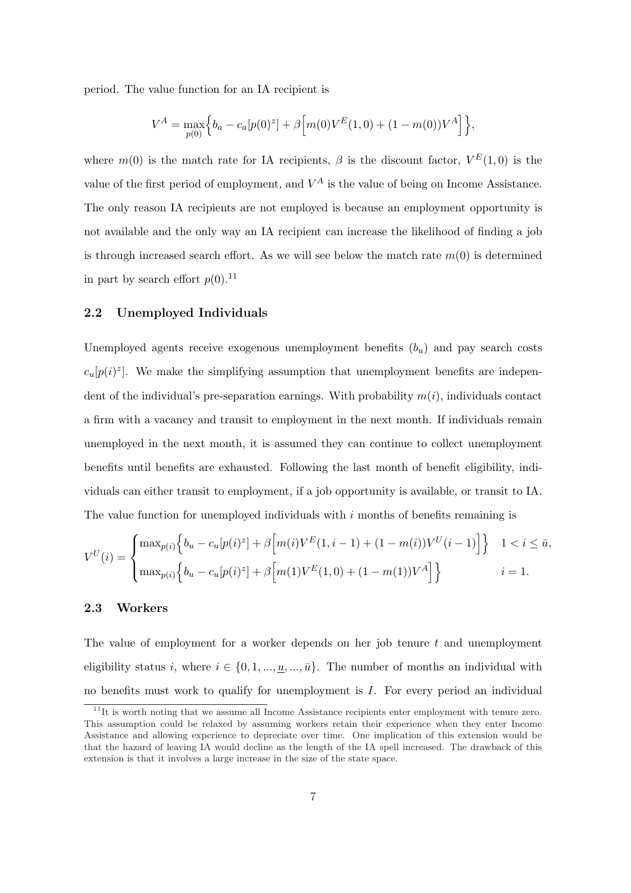period. The value function for an IA recipient is

$$
V^{A} = \max_{p(0)} \Big\{ b_{a} - c_{a}[p(0)^{z}] + \beta \Big[ m(0)V^{E}(1,0) + (1 - m(0))V^{A} \Big] \Big\},\,
$$

where  $m(0)$  is the match rate for IA recipients,  $\beta$  is the discount factor,  $V^{E}(1,0)$  is the value of the first period of employment, and  $V^A$  is the value of being on Income Assistance. The only reason IA recipients are not employed is because an employment opportunity is not available and the only way an IA recipient can increase the likelihood of finding a job is through increased search effort. As we will see below the match rate  $m(0)$  is determined in part by search effort  $p(0).<sup>11</sup>$ 

### 2.2 Unemployed Individuals

Unemployed agents receive exogenous unemployment benefits  $(b<sub>u</sub>)$  and pay search costs  $c_u[p(i)^z]$ . We make the simplifying assumption that unemployment benefits are independent of the individual's pre-separation earnings. With probability  $m(i)$ , individuals contact a firm with a vacancy and transit to employment in the next month. If individuals remain unemployed in the next month, it is assumed they can continue to collect unemployment benefits until benefits are exhausted. Following the last month of benefit eligibility, individuals can either transit to employment, if a job opportunity is available, or transit to IA. The value function for unemployed individuals with  $i$  months of benefits remaining is

$$
V^{U}(i) = \begin{cases} \max_{p(i)} \Big\{ b_u - c_u [p(i)^z] + \beta \Big[ m(i) V^{E}(1, i - 1) + (1 - m(i)) V^{U}(i - 1) \Big] \Big\} & 1 < i \le \bar{u}, \\ \max_{p(i)} \Big\{ b_u - c_u [p(i)^z] + \beta \Big[ m(1) V^{E}(1, 0) + (1 - m(1)) V^{A} \Big] \Big\} & i = 1. \end{cases}
$$

### 2.3 Workers

The value of employment for a worker depends on her job tenure  $t$  and unemployment eligibility status i, where  $i \in \{0, 1, ..., \underline{u}, ..., \overline{u}\}$ . The number of months an individual with no benefits must work to qualify for unemployment is I. For every period an individual

 $11$ It is worth noting that we assume all Income Assistance recipients enter employment with tenure zero. This assumption could be relaxed by assuming workers retain their experience when they enter Income Assistance and allowing experience to depreciate over time. One implication of this extension would be that the hazard of leaving IA would decline as the length of the IA spell increased. The drawback of this extension is that it involves a large increase in the size of the state space.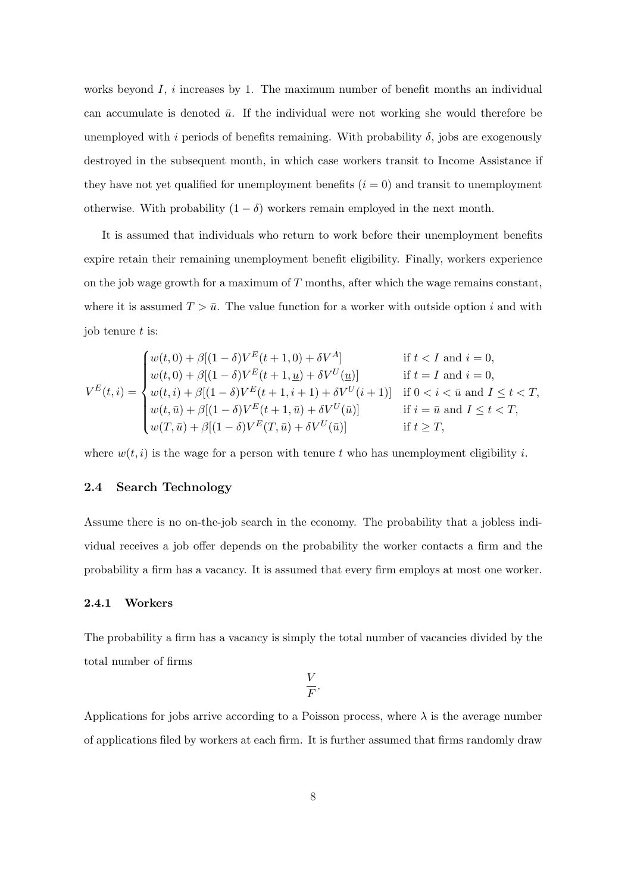works beyond  $I, i$  increases by 1. The maximum number of benefit months an individual can accumulate is denoted  $\bar{u}$ . If the individual were not working she would therefore be unemployed with i periods of benefits remaining. With probability  $\delta$ , jobs are exogenously destroyed in the subsequent month, in which case workers transit to Income Assistance if they have not yet qualified for unemployment benefits  $(i = 0)$  and transit to unemployment otherwise. With probability  $(1 - \delta)$  workers remain employed in the next month.

It is assumed that individuals who return to work before their unemployment benefits expire retain their remaining unemployment benefit eligibility. Finally, workers experience on the job wage growth for a maximum of  $T$  months, after which the wage remains constant, where it is assumed  $T > \bar{u}$ . The value function for a worker with outside option i and with job tenure  $t$  is:

$$
V^{E}(t,i) = \begin{cases} w(t,0) + \beta[(1-\delta)V^{E}(t+1,0) + \delta V^{A}] & \text{if } t < I \text{ and } i = 0, \\ w(t,0) + \beta[(1-\delta)V^{E}(t+1,\underline{u}) + \delta V^{U}(\underline{u})] & \text{if } t = I \text{ and } i = 0, \\ w(t,i) + \beta[(1-\delta)V^{E}(t+1,i+1) + \delta V^{U}(i+1)] & \text{if } 0 < i < \bar{u} \text{ and } I \leq t < T, \\ w(t,\bar{u}) + \beta[(1-\delta)V^{E}(t+1,\bar{u}) + \delta V^{U}(\bar{u})] & \text{if } i = \bar{u} \text{ and } I \leq t < T, \\ w(T,\bar{u}) + \beta[(1-\delta)V^{E}(T,\bar{u}) + \delta V^{U}(\bar{u})] & \text{if } t \geq T, \end{cases}
$$

where  $w(t, i)$  is the wage for a person with tenure t who has unemployment eligibility i.

### 2.4 Search Technology

Assume there is no on-the-job search in the economy. The probability that a jobless individual receives a job offer depends on the probability the worker contacts a firm and the probability a firm has a vacancy. It is assumed that every firm employs at most one worker.

### 2.4.1 Workers

The probability a firm has a vacancy is simply the total number of vacancies divided by the total number of firms

> V  $\frac{r}{F}$ .

Applications for jobs arrive according to a Poisson process, where  $\lambda$  is the average number of applications filed by workers at each firm. It is further assumed that firms randomly draw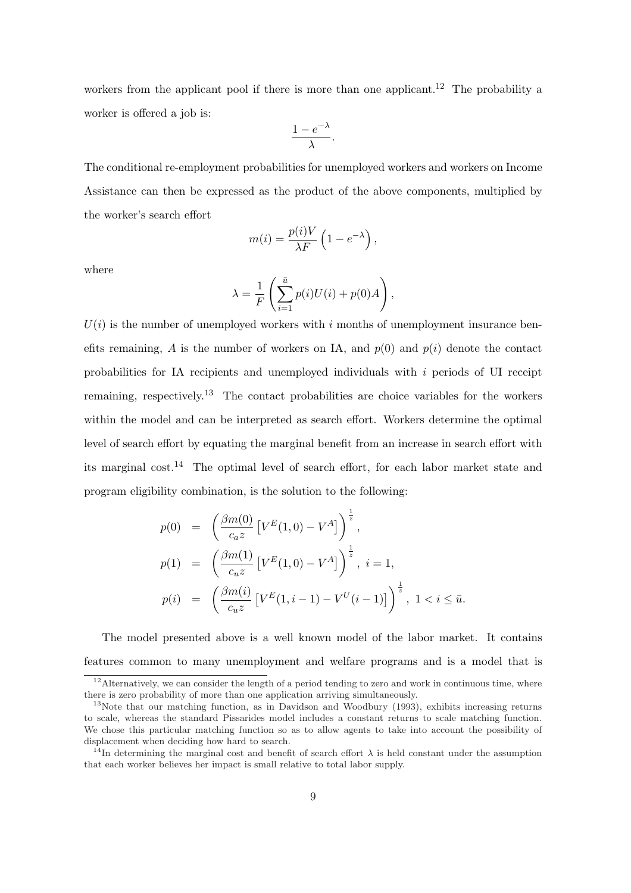workers from the applicant pool if there is more than one applicant.<sup>12</sup> The probability a worker is offered a job is:

$$
\frac{1-e^{-\lambda}}{\lambda}.
$$

The conditional re-employment probabilities for unemployed workers and workers on Income Assistance can then be expressed as the product of the above components, multiplied by the worker's search effort

$$
m(i) = \frac{p(i)V}{\lambda F} \left( 1 - e^{-\lambda} \right),
$$

where

$$
\lambda = \frac{1}{F} \left( \sum_{i=1}^{\bar{u}} p(i)U(i) + p(0)A \right),
$$

 $U(i)$  is the number of unemployed workers with i months of unemployment insurance benefits remaining, A is the number of workers on IA, and  $p(0)$  and  $p(i)$  denote the contact probabilities for IA recipients and unemployed individuals with  $i$  periods of UI receipt remaining, respectively.<sup>13</sup> The contact probabilities are choice variables for the workers within the model and can be interpreted as search effort. Workers determine the optimal level of search effort by equating the marginal benefit from an increase in search effort with its marginal cost.<sup>14</sup> The optimal level of search effort, for each labor market state and program eligibility combination, is the solution to the following:

$$
p(0) = \left(\frac{\beta m(0)}{c_a z} \left[V^E(1,0) - V^A\right]\right)^{\frac{1}{z}},
$$
  
\n
$$
p(1) = \left(\frac{\beta m(1)}{c_a z} \left[V^E(1,0) - V^A\right]\right)^{\frac{1}{z}}, i = 1,
$$
  
\n
$$
p(i) = \left(\frac{\beta m(i)}{c_a z} \left[V^E(1,i-1) - V^U(i-1)\right]\right)^{\frac{1}{z}}, 1 < i \le \bar{u}.
$$

The model presented above is a well known model of the labor market. It contains features common to many unemployment and welfare programs and is a model that is

<sup>&</sup>lt;sup>12</sup>Alternatively, we can consider the length of a period tending to zero and work in continuous time, where there is zero probability of more than one application arriving simultaneously.

 $13$ Note that our matching function, as in Davidson and Woodbury (1993), exhibits increasing returns to scale, whereas the standard Pissarides model includes a constant returns to scale matching function. We chose this particular matching function so as to allow agents to take into account the possibility of displacement when deciding how hard to search.

<sup>&</sup>lt;sup>14</sup>In determining the marginal cost and benefit of search effort  $\lambda$  is held constant under the assumption that each worker believes her impact is small relative to total labor supply.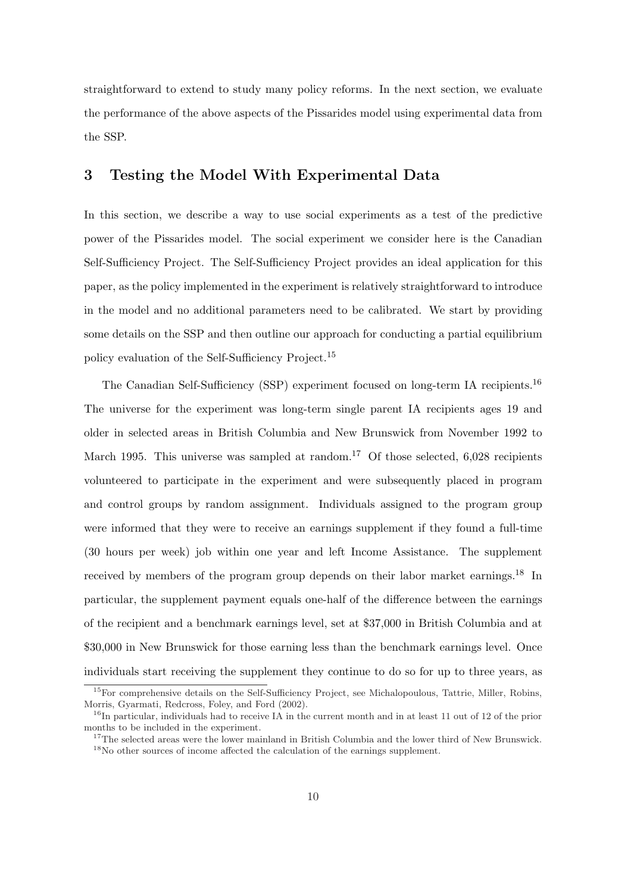straightforward to extend to study many policy reforms. In the next section, we evaluate the performance of the above aspects of the Pissarides model using experimental data from the SSP.

### 3 Testing the Model With Experimental Data

In this section, we describe a way to use social experiments as a test of the predictive power of the Pissarides model. The social experiment we consider here is the Canadian Self-Sufficiency Project. The Self-Sufficiency Project provides an ideal application for this paper, as the policy implemented in the experiment is relatively straightforward to introduce in the model and no additional parameters need to be calibrated. We start by providing some details on the SSP and then outline our approach for conducting a partial equilibrium policy evaluation of the Self-Sufficiency Project.<sup>15</sup>

The Canadian Self-Sufficiency (SSP) experiment focused on long-term IA recipients.<sup>16</sup> The universe for the experiment was long-term single parent IA recipients ages 19 and older in selected areas in British Columbia and New Brunswick from November 1992 to March 1995. This universe was sampled at random.<sup>17</sup> Of those selected, 6,028 recipients volunteered to participate in the experiment and were subsequently placed in program and control groups by random assignment. Individuals assigned to the program group were informed that they were to receive an earnings supplement if they found a full-time (30 hours per week) job within one year and left Income Assistance. The supplement received by members of the program group depends on their labor market earnings.<sup>18</sup> In particular, the supplement payment equals one-half of the difference between the earnings of the recipient and a benchmark earnings level, set at \$37,000 in British Columbia and at \$30,000 in New Brunswick for those earning less than the benchmark earnings level. Once individuals start receiving the supplement they continue to do so for up to three years, as

<sup>&</sup>lt;sup>15</sup>For comprehensive details on the Self-Sufficiency Project, see Michalopoulous, Tattrie, Miller, Robins, Morris, Gyarmati, Redcross, Foley, and Ford (2002).

<sup>&</sup>lt;sup>16</sup>In particular, individuals had to receive IA in the current month and in at least 11 out of 12 of the prior months to be included in the experiment.

<sup>&</sup>lt;sup>17</sup>The selected areas were the lower mainland in British Columbia and the lower third of New Brunswick. <sup>18</sup>No other sources of income affected the calculation of the earnings supplement.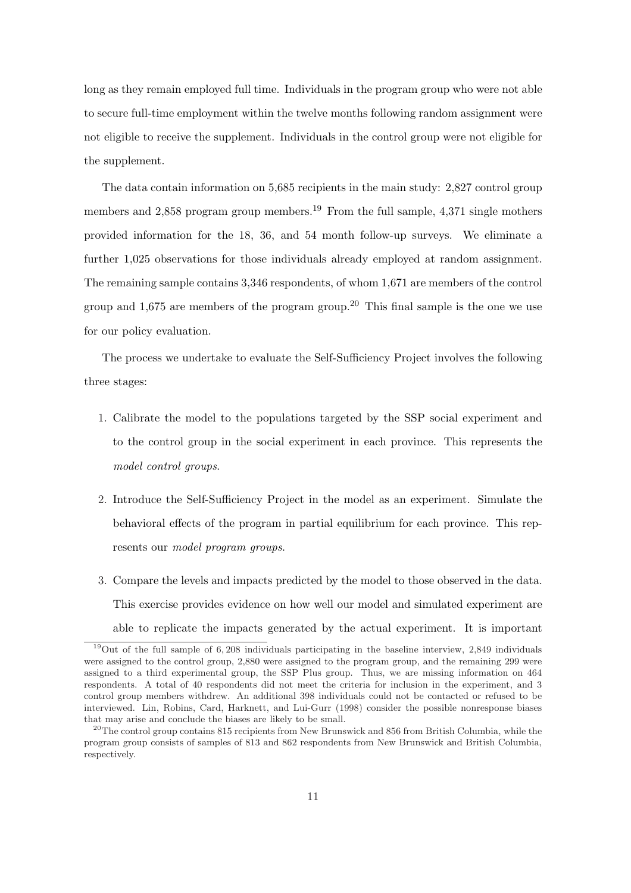long as they remain employed full time. Individuals in the program group who were not able to secure full-time employment within the twelve months following random assignment were not eligible to receive the supplement. Individuals in the control group were not eligible for the supplement.

The data contain information on 5,685 recipients in the main study: 2,827 control group members and 2,858 program group members.<sup>19</sup> From the full sample, 4,371 single mothers provided information for the 18, 36, and 54 month follow-up surveys. We eliminate a further 1,025 observations for those individuals already employed at random assignment. The remaining sample contains 3,346 respondents, of whom 1,671 are members of the control group and 1,675 are members of the program group.<sup>20</sup> This final sample is the one we use for our policy evaluation.

The process we undertake to evaluate the Self-Sufficiency Project involves the following three stages:

- 1. Calibrate the model to the populations targeted by the SSP social experiment and to the control group in the social experiment in each province. This represents the model control groups.
- 2. Introduce the Self-Sufficiency Project in the model as an experiment. Simulate the behavioral effects of the program in partial equilibrium for each province. This represents our model program groups.
- 3. Compare the levels and impacts predicted by the model to those observed in the data. This exercise provides evidence on how well our model and simulated experiment are able to replicate the impacts generated by the actual experiment. It is important

 $19$ Out of the full sample of 6, 208 individuals participating in the baseline interview, 2,849 individuals were assigned to the control group, 2,880 were assigned to the program group, and the remaining 299 were assigned to a third experimental group, the SSP Plus group. Thus, we are missing information on 464 respondents. A total of 40 respondents did not meet the criteria for inclusion in the experiment, and 3 control group members withdrew. An additional 398 individuals could not be contacted or refused to be interviewed. Lin, Robins, Card, Harknett, and Lui-Gurr (1998) consider the possible nonresponse biases that may arise and conclude the biases are likely to be small.

 $^{20}$ The control group contains 815 recipients from New Brunswick and 856 from British Columbia, while the program group consists of samples of 813 and 862 respondents from New Brunswick and British Columbia, respectively.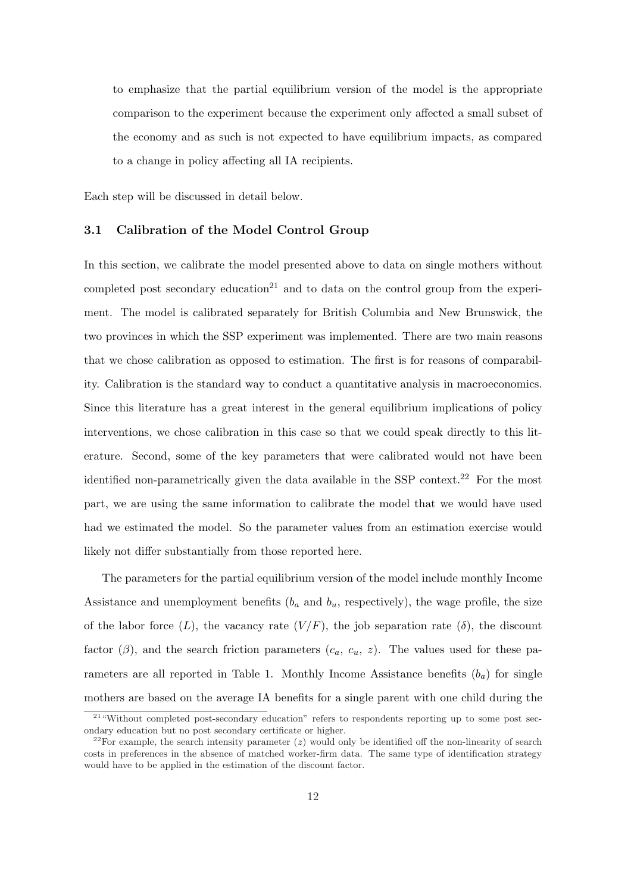to emphasize that the partial equilibrium version of the model is the appropriate comparison to the experiment because the experiment only affected a small subset of the economy and as such is not expected to have equilibrium impacts, as compared to a change in policy affecting all IA recipients.

Each step will be discussed in detail below.

### 3.1 Calibration of the Model Control Group

In this section, we calibrate the model presented above to data on single mothers without completed post secondary education<sup>21</sup> and to data on the control group from the experiment. The model is calibrated separately for British Columbia and New Brunswick, the two provinces in which the SSP experiment was implemented. There are two main reasons that we chose calibration as opposed to estimation. The first is for reasons of comparability. Calibration is the standard way to conduct a quantitative analysis in macroeconomics. Since this literature has a great interest in the general equilibrium implications of policy interventions, we chose calibration in this case so that we could speak directly to this literature. Second, some of the key parameters that were calibrated would not have been identified non-parametrically given the data available in the SSP context.<sup>22</sup> For the most part, we are using the same information to calibrate the model that we would have used had we estimated the model. So the parameter values from an estimation exercise would likely not differ substantially from those reported here.

The parameters for the partial equilibrium version of the model include monthly Income Assistance and unemployment benefits  $(b_a \text{ and } b_u, \text{ respectively})$ , the wage profile, the size of the labor force  $(L)$ , the vacancy rate  $(V/F)$ , the job separation rate  $(\delta)$ , the discount factor ( $\beta$ ), and the search friction parameters  $(c_a, c_u, z)$ . The values used for these parameters are all reported in Table 1. Monthly Income Assistance benefits  $(b_a)$  for single mothers are based on the average IA benefits for a single parent with one child during the

<sup>&</sup>lt;sup>21</sup> "Without completed post-secondary education" refers to respondents reporting up to some post secondary education but no post secondary certificate or higher.

<sup>&</sup>lt;sup>22</sup>For example, the search intensity parameter  $(z)$  would only be identified off the non-linearity of search costs in preferences in the absence of matched worker-firm data. The same type of identification strategy would have to be applied in the estimation of the discount factor.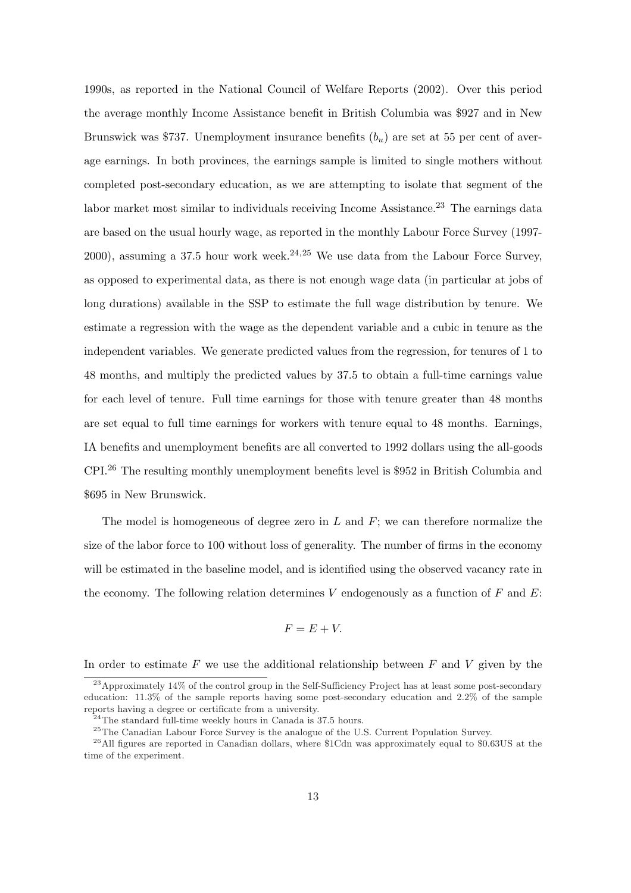1990s, as reported in the National Council of Welfare Reports (2002). Over this period the average monthly Income Assistance benefit in British Columbia was \$927 and in New Brunswick was \$737. Unemployment insurance benefits  $(b<sub>u</sub>)$  are set at 55 per cent of average earnings. In both provinces, the earnings sample is limited to single mothers without completed post-secondary education, as we are attempting to isolate that segment of the labor market most similar to individuals receiving Income Assistance.<sup>23</sup> The earnings data are based on the usual hourly wage, as reported in the monthly Labour Force Survey (1997- 2000), assuming a 37.5 hour work week.<sup>24,25</sup> We use data from the Labour Force Survey, as opposed to experimental data, as there is not enough wage data (in particular at jobs of long durations) available in the SSP to estimate the full wage distribution by tenure. We estimate a regression with the wage as the dependent variable and a cubic in tenure as the independent variables. We generate predicted values from the regression, for tenures of 1 to 48 months, and multiply the predicted values by 37.5 to obtain a full-time earnings value for each level of tenure. Full time earnings for those with tenure greater than 48 months are set equal to full time earnings for workers with tenure equal to 48 months. Earnings, IA benefits and unemployment benefits are all converted to 1992 dollars using the all-goods CPI.<sup>26</sup> The resulting monthly unemployment benefits level is \$952 in British Columbia and \$695 in New Brunswick.

The model is homogeneous of degree zero in  $L$  and  $F$ ; we can therefore normalize the size of the labor force to 100 without loss of generality. The number of firms in the economy will be estimated in the baseline model, and is identified using the observed vacancy rate in the economy. The following relation determines V endogenously as a function of  $F$  and  $E$ :

$$
F = E + V.
$$

In order to estimate  $F$  we use the additional relationship between  $F$  and  $V$  given by the

<sup>&</sup>lt;sup>23</sup>Approximately 14% of the control group in the Self-Sufficiency Project has at least some post-secondary education: 11.3% of the sample reports having some post-secondary education and 2.2% of the sample reports having a degree or certificate from a university.

 $^{24}$ The standard full-time weekly hours in Canada is 37.5 hours.

<sup>25</sup>The Canadian Labour Force Survey is the analogue of the U.S. Current Population Survey.

<sup>&</sup>lt;sup>26</sup>All figures are reported in Canadian dollars, where \$1Cdn was approximately equal to \$0.63US at the time of the experiment.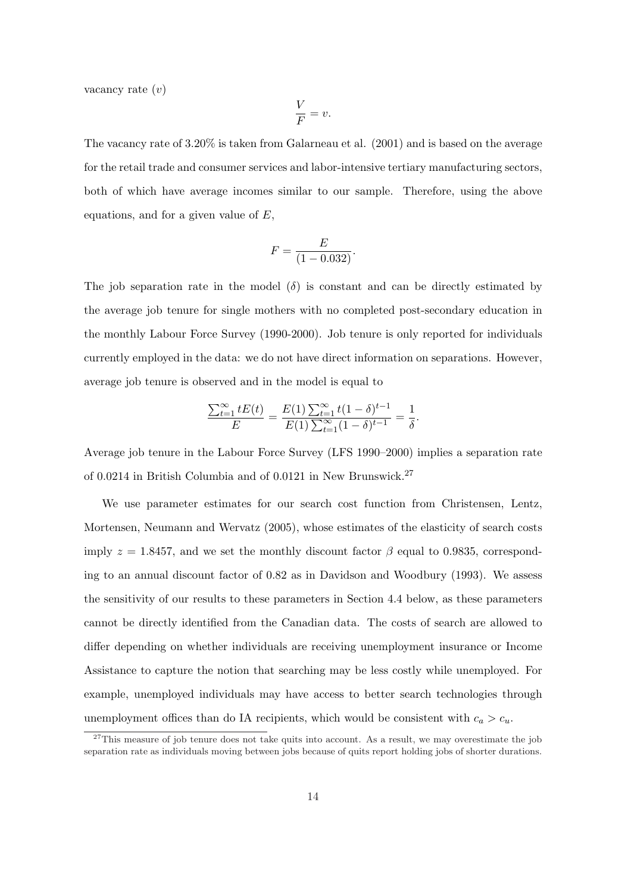vacancy rate  $(v)$ 

$$
\frac{V}{F} = v.
$$

The vacancy rate of 3.20% is taken from Galarneau et al. (2001) and is based on the average for the retail trade and consumer services and labor-intensive tertiary manufacturing sectors, both of which have average incomes similar to our sample. Therefore, using the above equations, and for a given value of  $E$ ,

$$
F = \frac{E}{(1 - 0.032)}.
$$

The job separation rate in the model  $(\delta)$  is constant and can be directly estimated by the average job tenure for single mothers with no completed post-secondary education in the monthly Labour Force Survey (1990-2000). Job tenure is only reported for individuals currently employed in the data: we do not have direct information on separations. However, average job tenure is observed and in the model is equal to

$$
\frac{\sum_{t=1}^{\infty} tE(t)}{E} = \frac{E(1)\sum_{t=1}^{\infty} t(1-\delta)^{t-1}}{E(1)\sum_{t=1}^{\infty} (1-\delta)^{t-1}} = \frac{1}{\delta}.
$$

Average job tenure in the Labour Force Survey (LFS 1990–2000) implies a separation rate of 0.0214 in British Columbia and of 0.0121 in New Brunswick.<sup>27</sup>

We use parameter estimates for our search cost function from Christensen, Lentz, Mortensen, Neumann and Wervatz (2005), whose estimates of the elasticity of search costs imply  $z = 1.8457$ , and we set the monthly discount factor  $\beta$  equal to 0.9835, corresponding to an annual discount factor of 0.82 as in Davidson and Woodbury (1993). We assess the sensitivity of our results to these parameters in Section 4.4 below, as these parameters cannot be directly identified from the Canadian data. The costs of search are allowed to differ depending on whether individuals are receiving unemployment insurance or Income Assistance to capture the notion that searching may be less costly while unemployed. For example, unemployed individuals may have access to better search technologies through unemployment offices than do IA recipients, which would be consistent with  $c_a > c_u$ .

 $27$ This measure of job tenure does not take quits into account. As a result, we may overestimate the job separation rate as individuals moving between jobs because of quits report holding jobs of shorter durations.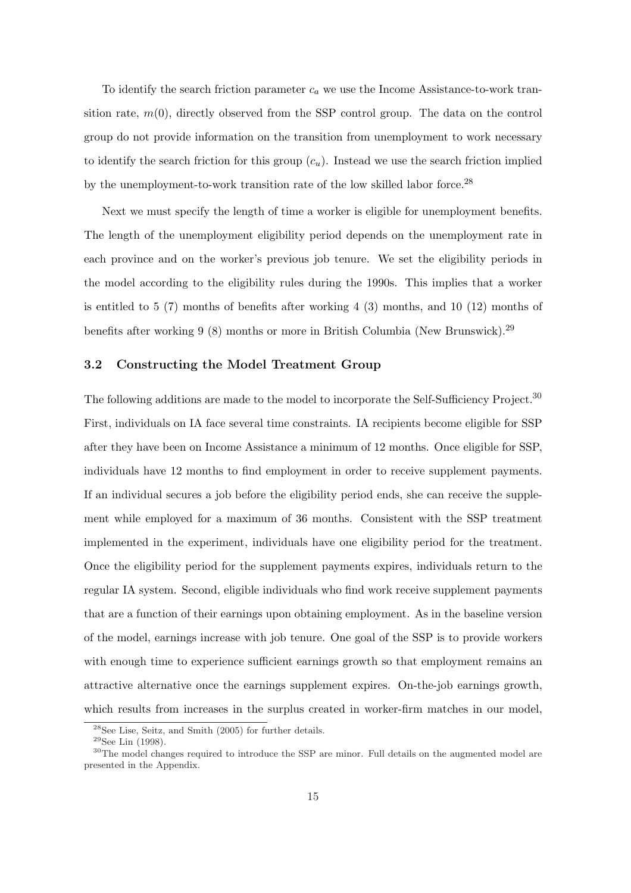To identify the search friction parameter  $c_a$  we use the Income Assistance-to-work transition rate,  $m(0)$ , directly observed from the SSP control group. The data on the control group do not provide information on the transition from unemployment to work necessary to identify the search friction for this group  $(c_u)$ . Instead we use the search friction implied by the unemployment-to-work transition rate of the low skilled labor force.<sup>28</sup>

Next we must specify the length of time a worker is eligible for unemployment benefits. The length of the unemployment eligibility period depends on the unemployment rate in each province and on the worker's previous job tenure. We set the eligibility periods in the model according to the eligibility rules during the 1990s. This implies that a worker is entitled to 5  $(7)$  months of benefits after working 4  $(3)$  months, and 10  $(12)$  months of benefits after working 9 (8) months or more in British Columbia (New Brunswick).<sup>29</sup>

### 3.2 Constructing the Model Treatment Group

The following additions are made to the model to incorporate the Self-Sufficiency Project.<sup>30</sup> First, individuals on IA face several time constraints. IA recipients become eligible for SSP after they have been on Income Assistance a minimum of 12 months. Once eligible for SSP, individuals have 12 months to find employment in order to receive supplement payments. If an individual secures a job before the eligibility period ends, she can receive the supplement while employed for a maximum of 36 months. Consistent with the SSP treatment implemented in the experiment, individuals have one eligibility period for the treatment. Once the eligibility period for the supplement payments expires, individuals return to the regular IA system. Second, eligible individuals who find work receive supplement payments that are a function of their earnings upon obtaining employment. As in the baseline version of the model, earnings increase with job tenure. One goal of the SSP is to provide workers with enough time to experience sufficient earnings growth so that employment remains an attractive alternative once the earnings supplement expires. On-the-job earnings growth, which results from increases in the surplus created in worker-firm matches in our model,

<sup>28</sup>See Lise, Seitz, and Smith (2005) for further details.

 $29$ See Lin (1998).

<sup>&</sup>lt;sup>30</sup>The model changes required to introduce the SSP are minor. Full details on the augmented model are presented in the Appendix.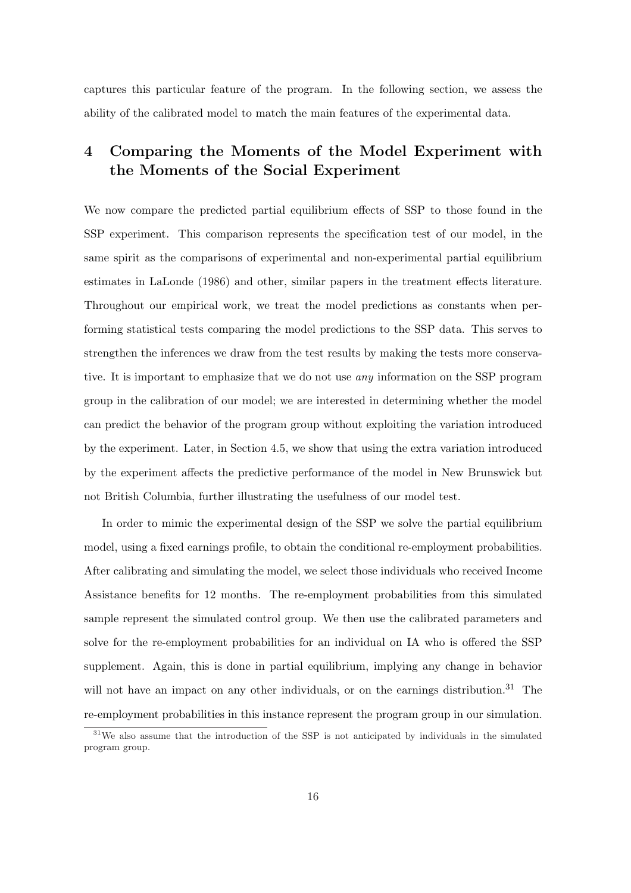captures this particular feature of the program. In the following section, we assess the ability of the calibrated model to match the main features of the experimental data.

## 4 Comparing the Moments of the Model Experiment with the Moments of the Social Experiment

We now compare the predicted partial equilibrium effects of SSP to those found in the SSP experiment. This comparison represents the specification test of our model, in the same spirit as the comparisons of experimental and non-experimental partial equilibrium estimates in LaLonde (1986) and other, similar papers in the treatment effects literature. Throughout our empirical work, we treat the model predictions as constants when performing statistical tests comparing the model predictions to the SSP data. This serves to strengthen the inferences we draw from the test results by making the tests more conservative. It is important to emphasize that we do not use *any* information on the SSP program group in the calibration of our model; we are interested in determining whether the model can predict the behavior of the program group without exploiting the variation introduced by the experiment. Later, in Section 4.5, we show that using the extra variation introduced by the experiment affects the predictive performance of the model in New Brunswick but not British Columbia, further illustrating the usefulness of our model test.

In order to mimic the experimental design of the SSP we solve the partial equilibrium model, using a fixed earnings profile, to obtain the conditional re-employment probabilities. After calibrating and simulating the model, we select those individuals who received Income Assistance benefits for 12 months. The re-employment probabilities from this simulated sample represent the simulated control group. We then use the calibrated parameters and solve for the re-employment probabilities for an individual on IA who is offered the SSP supplement. Again, this is done in partial equilibrium, implying any change in behavior will not have an impact on any other individuals, or on the earnings distribution.<sup>31</sup> The re-employment probabilities in this instance represent the program group in our simulation.

 $31$ We also assume that the introduction of the SSP is not anticipated by individuals in the simulated program group.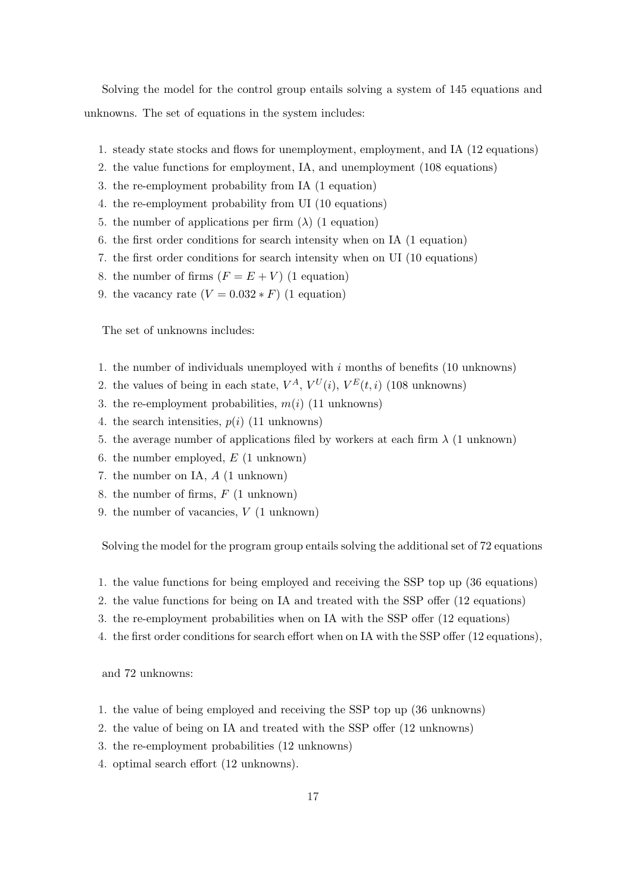Solving the model for the control group entails solving a system of 145 equations and unknowns. The set of equations in the system includes:

- 1. steady state stocks and flows for unemployment, employment, and IA (12 equations)
- 2. the value functions for employment, IA, and unemployment (108 equations)
- 3. the re-employment probability from IA (1 equation)
- 4. the re-employment probability from UI (10 equations)
- 5. the number of applications per firm  $(\lambda)$  (1 equation)
- 6. the first order conditions for search intensity when on IA (1 equation)
- 7. the first order conditions for search intensity when on UI (10 equations)
- 8. the number of firms  $(F = E + V)$  (1 equation)
- 9. the vacancy rate  $(V = 0.032 * F)$  (1 equation)

The set of unknowns includes:

- 1. the number of individuals unemployed with  $i$  months of benefits (10 unknowns)
- 2. the values of being in each state,  $V^A$ ,  $V^U(i)$ ,  $V^E(t, i)$  (108 unknowns)
- 3. the re-employment probabilities,  $m(i)$  (11 unknowns)
- 4. the search intensities,  $p(i)$  (11 unknowns)
- 5. the average number of applications filed by workers at each firm  $\lambda$  (1 unknown)
- 6. the number employed,  $E$  (1 unknown)
- 7. the number on IA, A (1 unknown)
- 8. the number of firms,  $F(1)$  unknown)
- 9. the number of vacancies,  $V(1)$  unknown)

Solving the model for the program group entails solving the additional set of 72 equations

- 1. the value functions for being employed and receiving the SSP top up (36 equations)
- 2. the value functions for being on IA and treated with the SSP offer (12 equations)
- 3. the re-employment probabilities when on IA with the SSP offer (12 equations)
- 4. the first order conditions for search effort when on IA with the SSP offer (12 equations),

and 72 unknowns:

- 1. the value of being employed and receiving the SSP top up (36 unknowns)
- 2. the value of being on IA and treated with the SSP offer (12 unknowns)
- 3. the re-employment probabilities (12 unknowns)
- 4. optimal search effort (12 unknowns).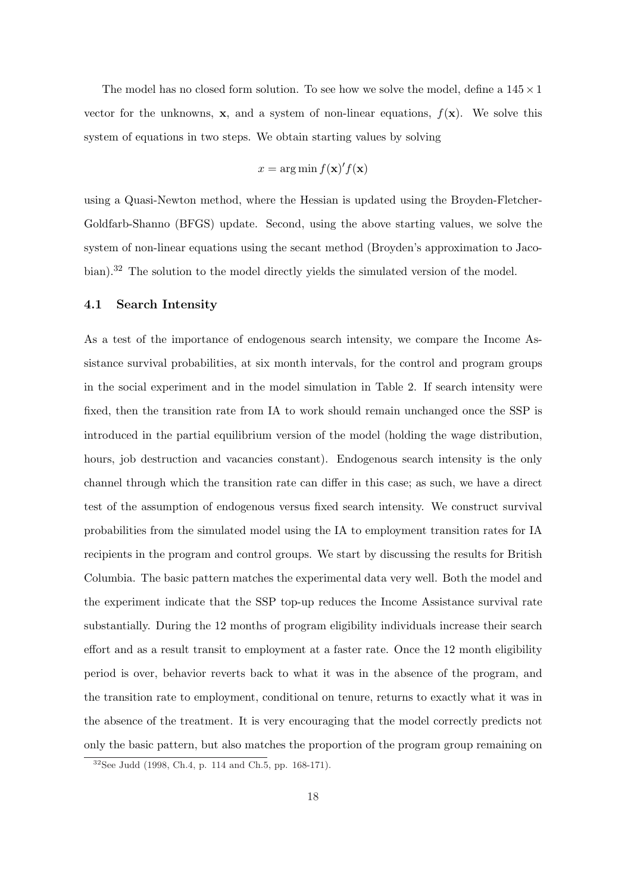The model has no closed form solution. To see how we solve the model, define a  $145 \times 1$ vector for the unknowns, x, and a system of non-linear equations,  $f(x)$ . We solve this system of equations in two steps. We obtain starting values by solving

$$
x = \arg\min f(\mathbf{x})' f(\mathbf{x})
$$

using a Quasi-Newton method, where the Hessian is updated using the Broyden-Fletcher-Goldfarb-Shanno (BFGS) update. Second, using the above starting values, we solve the system of non-linear equations using the secant method (Broyden's approximation to Jacobian).<sup>32</sup> The solution to the model directly yields the simulated version of the model.

### 4.1 Search Intensity

As a test of the importance of endogenous search intensity, we compare the Income Assistance survival probabilities, at six month intervals, for the control and program groups in the social experiment and in the model simulation in Table 2. If search intensity were fixed, then the transition rate from IA to work should remain unchanged once the SSP is introduced in the partial equilibrium version of the model (holding the wage distribution, hours, job destruction and vacancies constant). Endogenous search intensity is the only channel through which the transition rate can differ in this case; as such, we have a direct test of the assumption of endogenous versus fixed search intensity. We construct survival probabilities from the simulated model using the IA to employment transition rates for IA recipients in the program and control groups. We start by discussing the results for British Columbia. The basic pattern matches the experimental data very well. Both the model and the experiment indicate that the SSP top-up reduces the Income Assistance survival rate substantially. During the 12 months of program eligibility individuals increase their search effort and as a result transit to employment at a faster rate. Once the 12 month eligibility period is over, behavior reverts back to what it was in the absence of the program, and the transition rate to employment, conditional on tenure, returns to exactly what it was in the absence of the treatment. It is very encouraging that the model correctly predicts not only the basic pattern, but also matches the proportion of the program group remaining on

<sup>32</sup>See Judd (1998, Ch.4, p. 114 and Ch.5, pp. 168-171).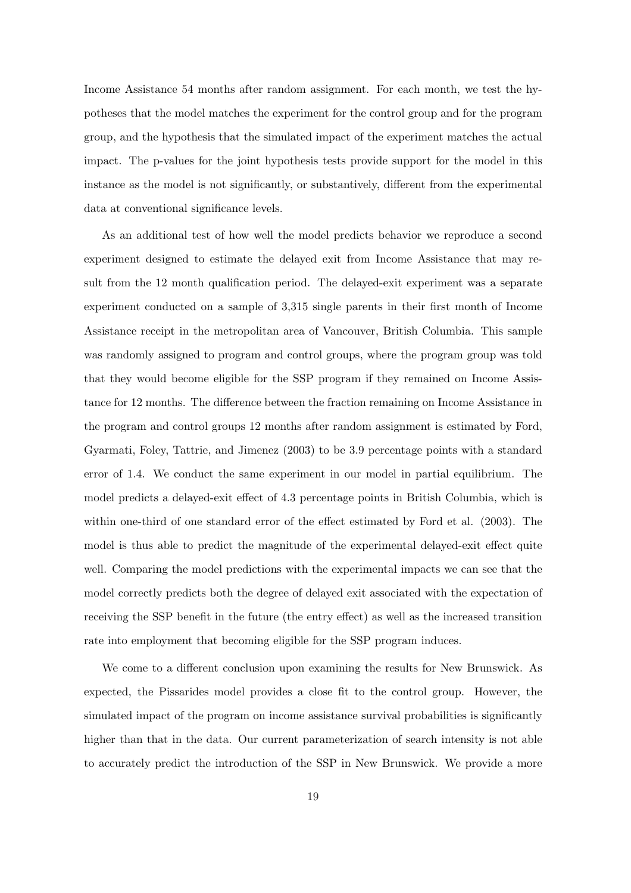Income Assistance 54 months after random assignment. For each month, we test the hypotheses that the model matches the experiment for the control group and for the program group, and the hypothesis that the simulated impact of the experiment matches the actual impact. The p-values for the joint hypothesis tests provide support for the model in this instance as the model is not significantly, or substantively, different from the experimental data at conventional significance levels.

As an additional test of how well the model predicts behavior we reproduce a second experiment designed to estimate the delayed exit from Income Assistance that may result from the 12 month qualification period. The delayed-exit experiment was a separate experiment conducted on a sample of 3,315 single parents in their first month of Income Assistance receipt in the metropolitan area of Vancouver, British Columbia. This sample was randomly assigned to program and control groups, where the program group was told that they would become eligible for the SSP program if they remained on Income Assistance for 12 months. The difference between the fraction remaining on Income Assistance in the program and control groups 12 months after random assignment is estimated by Ford, Gyarmati, Foley, Tattrie, and Jimenez (2003) to be 3.9 percentage points with a standard error of 1.4. We conduct the same experiment in our model in partial equilibrium. The model predicts a delayed-exit effect of 4.3 percentage points in British Columbia, which is within one-third of one standard error of the effect estimated by Ford et al. (2003). The model is thus able to predict the magnitude of the experimental delayed-exit effect quite well. Comparing the model predictions with the experimental impacts we can see that the model correctly predicts both the degree of delayed exit associated with the expectation of receiving the SSP benefit in the future (the entry effect) as well as the increased transition rate into employment that becoming eligible for the SSP program induces.

We come to a different conclusion upon examining the results for New Brunswick. As expected, the Pissarides model provides a close fit to the control group. However, the simulated impact of the program on income assistance survival probabilities is significantly higher than that in the data. Our current parameterization of search intensity is not able to accurately predict the introduction of the SSP in New Brunswick. We provide a more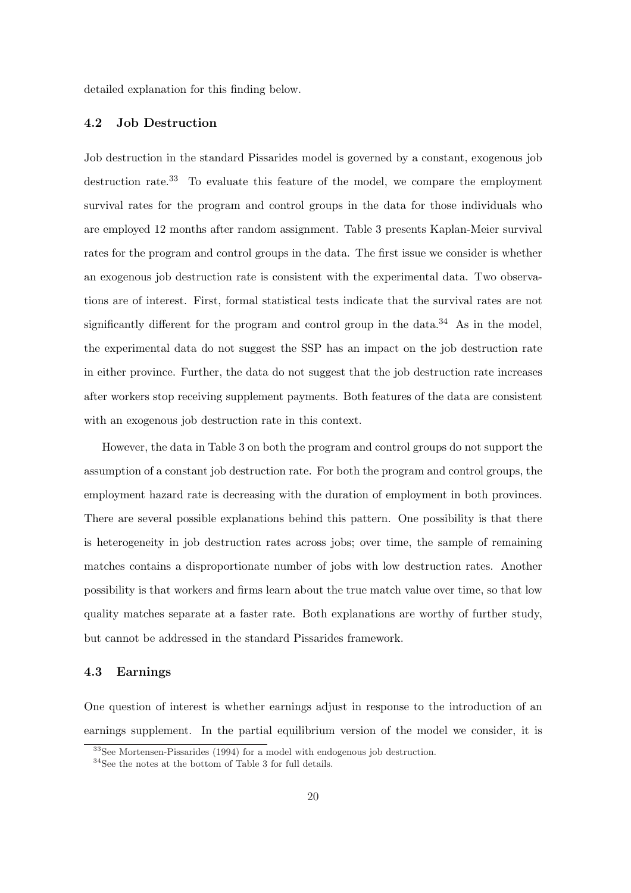detailed explanation for this finding below.

### 4.2 Job Destruction

Job destruction in the standard Pissarides model is governed by a constant, exogenous job destruction rate.<sup>33</sup> To evaluate this feature of the model, we compare the employment survival rates for the program and control groups in the data for those individuals who are employed 12 months after random assignment. Table 3 presents Kaplan-Meier survival rates for the program and control groups in the data. The first issue we consider is whether an exogenous job destruction rate is consistent with the experimental data. Two observations are of interest. First, formal statistical tests indicate that the survival rates are not significantly different for the program and control group in the data.<sup>34</sup> As in the model, the experimental data do not suggest the SSP has an impact on the job destruction rate in either province. Further, the data do not suggest that the job destruction rate increases after workers stop receiving supplement payments. Both features of the data are consistent with an exogenous job destruction rate in this context.

However, the data in Table 3 on both the program and control groups do not support the assumption of a constant job destruction rate. For both the program and control groups, the employment hazard rate is decreasing with the duration of employment in both provinces. There are several possible explanations behind this pattern. One possibility is that there is heterogeneity in job destruction rates across jobs; over time, the sample of remaining matches contains a disproportionate number of jobs with low destruction rates. Another possibility is that workers and firms learn about the true match value over time, so that low quality matches separate at a faster rate. Both explanations are worthy of further study, but cannot be addressed in the standard Pissarides framework.

### 4.3 Earnings

One question of interest is whether earnings adjust in response to the introduction of an earnings supplement. In the partial equilibrium version of the model we consider, it is

<sup>33</sup>See Mortensen-Pissarides (1994) for a model with endogenous job destruction.

<sup>34</sup>See the notes at the bottom of Table 3 for full details.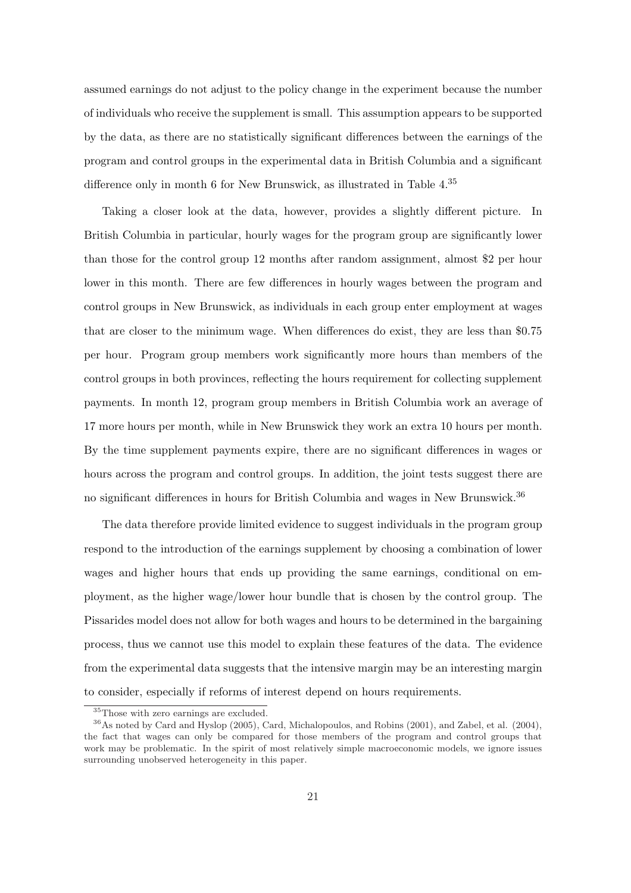assumed earnings do not adjust to the policy change in the experiment because the number of individuals who receive the supplement is small. This assumption appears to be supported by the data, as there are no statistically significant differences between the earnings of the program and control groups in the experimental data in British Columbia and a significant difference only in month 6 for New Brunswick, as illustrated in Table 4.<sup>35</sup>

Taking a closer look at the data, however, provides a slightly different picture. In British Columbia in particular, hourly wages for the program group are significantly lower than those for the control group 12 months after random assignment, almost \$2 per hour lower in this month. There are few differences in hourly wages between the program and control groups in New Brunswick, as individuals in each group enter employment at wages that are closer to the minimum wage. When differences do exist, they are less than \$0.75 per hour. Program group members work significantly more hours than members of the control groups in both provinces, reflecting the hours requirement for collecting supplement payments. In month 12, program group members in British Columbia work an average of 17 more hours per month, while in New Brunswick they work an extra 10 hours per month. By the time supplement payments expire, there are no significant differences in wages or hours across the program and control groups. In addition, the joint tests suggest there are no significant differences in hours for British Columbia and wages in New Brunswick.<sup>36</sup>

The data therefore provide limited evidence to suggest individuals in the program group respond to the introduction of the earnings supplement by choosing a combination of lower wages and higher hours that ends up providing the same earnings, conditional on employment, as the higher wage/lower hour bundle that is chosen by the control group. The Pissarides model does not allow for both wages and hours to be determined in the bargaining process, thus we cannot use this model to explain these features of the data. The evidence from the experimental data suggests that the intensive margin may be an interesting margin to consider, especially if reforms of interest depend on hours requirements.

<sup>&</sup>lt;sup>35</sup>Those with zero earnings are excluded.

<sup>36</sup>As noted by Card and Hyslop (2005), Card, Michalopoulos, and Robins (2001), and Zabel, et al. (2004), the fact that wages can only be compared for those members of the program and control groups that work may be problematic. In the spirit of most relatively simple macroeconomic models, we ignore issues surrounding unobserved heterogeneity in this paper.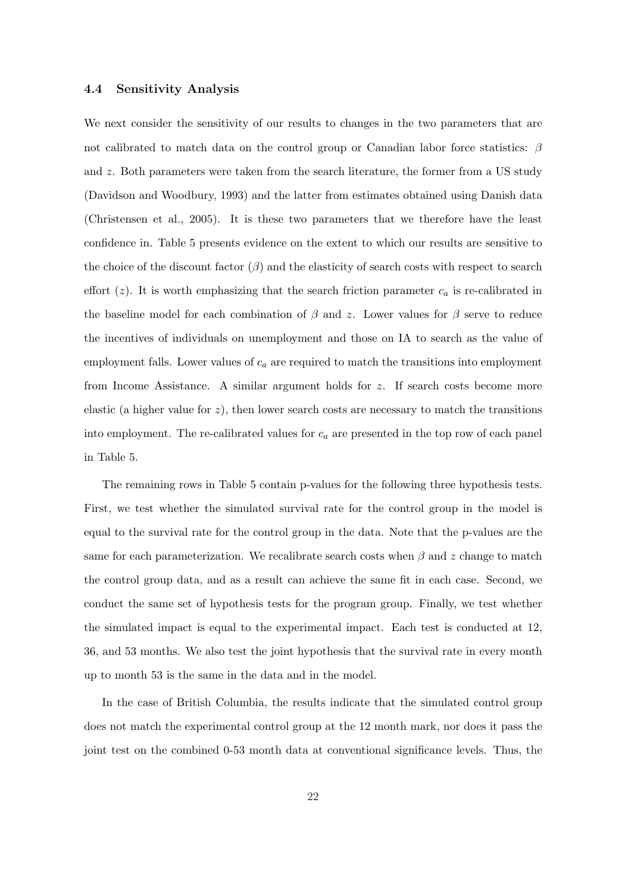### 4.4 Sensitivity Analysis

We next consider the sensitivity of our results to changes in the two parameters that are not calibrated to match data on the control group or Canadian labor force statistics:  $\beta$ and  $z$ . Both parameters were taken from the search literature, the former from a US study (Davidson and Woodbury, 1993) and the latter from estimates obtained using Danish data (Christensen et al., 2005). It is these two parameters that we therefore have the least confidence in. Table 5 presents evidence on the extent to which our results are sensitive to the choice of the discount factor  $(\beta)$  and the elasticity of search costs with respect to search effort  $(z)$ . It is worth emphasizing that the search friction parameter  $c_a$  is re-calibrated in the baseline model for each combination of  $\beta$  and z. Lower values for  $\beta$  serve to reduce the incentives of individuals on unemployment and those on IA to search as the value of employment falls. Lower values of  $c_a$  are required to match the transitions into employment from Income Assistance. A similar argument holds for z. If search costs become more elastic (a higher value for  $z$ ), then lower search costs are necessary to match the transitions into employment. The re-calibrated values for  $c_a$  are presented in the top row of each panel in Table 5.

The remaining rows in Table 5 contain p-values for the following three hypothesis tests. First, we test whether the simulated survival rate for the control group in the model is equal to the survival rate for the control group in the data. Note that the p-values are the same for each parameterization. We recalibrate search costs when  $\beta$  and z change to match the control group data, and as a result can achieve the same fit in each case. Second, we conduct the same set of hypothesis tests for the program group. Finally, we test whether the simulated impact is equal to the experimental impact. Each test is conducted at 12, 36, and 53 months. We also test the joint hypothesis that the survival rate in every month up to month 53 is the same in the data and in the model.

In the case of British Columbia, the results indicate that the simulated control group does not match the experimental control group at the 12 month mark, nor does it pass the joint test on the combined 0-53 month data at conventional significance levels. Thus, the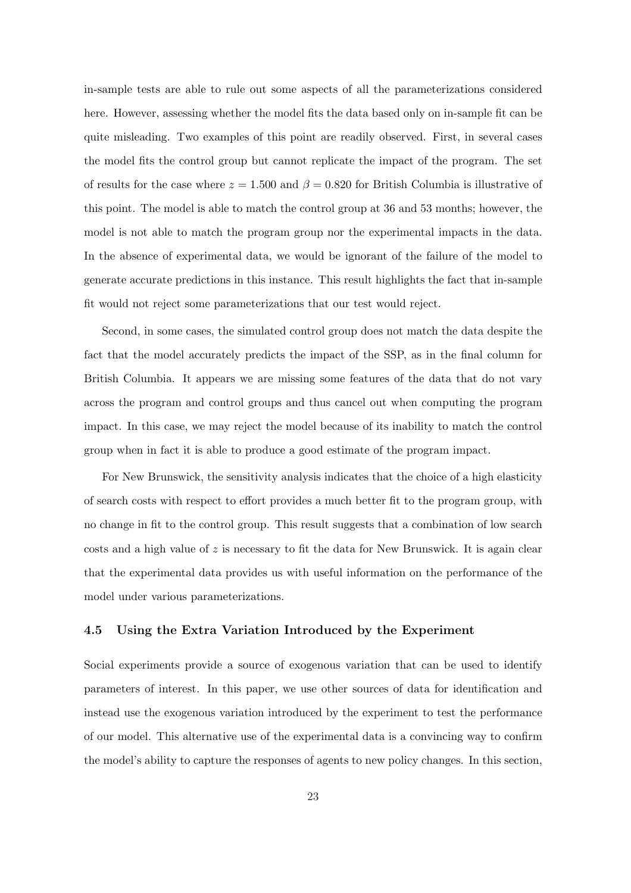in-sample tests are able to rule out some aspects of all the parameterizations considered here. However, assessing whether the model fits the data based only on in-sample fit can be quite misleading. Two examples of this point are readily observed. First, in several cases the model fits the control group but cannot replicate the impact of the program. The set of results for the case where  $z = 1.500$  and  $\beta = 0.820$  for British Columbia is illustrative of this point. The model is able to match the control group at 36 and 53 months; however, the model is not able to match the program group nor the experimental impacts in the data. In the absence of experimental data, we would be ignorant of the failure of the model to generate accurate predictions in this instance. This result highlights the fact that in-sample fit would not reject some parameterizations that our test would reject.

Second, in some cases, the simulated control group does not match the data despite the fact that the model accurately predicts the impact of the SSP, as in the final column for British Columbia. It appears we are missing some features of the data that do not vary across the program and control groups and thus cancel out when computing the program impact. In this case, we may reject the model because of its inability to match the control group when in fact it is able to produce a good estimate of the program impact.

For New Brunswick, the sensitivity analysis indicates that the choice of a high elasticity of search costs with respect to effort provides a much better fit to the program group, with no change in fit to the control group. This result suggests that a combination of low search costs and a high value of  $z$  is necessary to fit the data for New Brunswick. It is again clear that the experimental data provides us with useful information on the performance of the model under various parameterizations.

### 4.5 Using the Extra Variation Introduced by the Experiment

Social experiments provide a source of exogenous variation that can be used to identify parameters of interest. In this paper, we use other sources of data for identification and instead use the exogenous variation introduced by the experiment to test the performance of our model. This alternative use of the experimental data is a convincing way to confirm the model's ability to capture the responses of agents to new policy changes. In this section,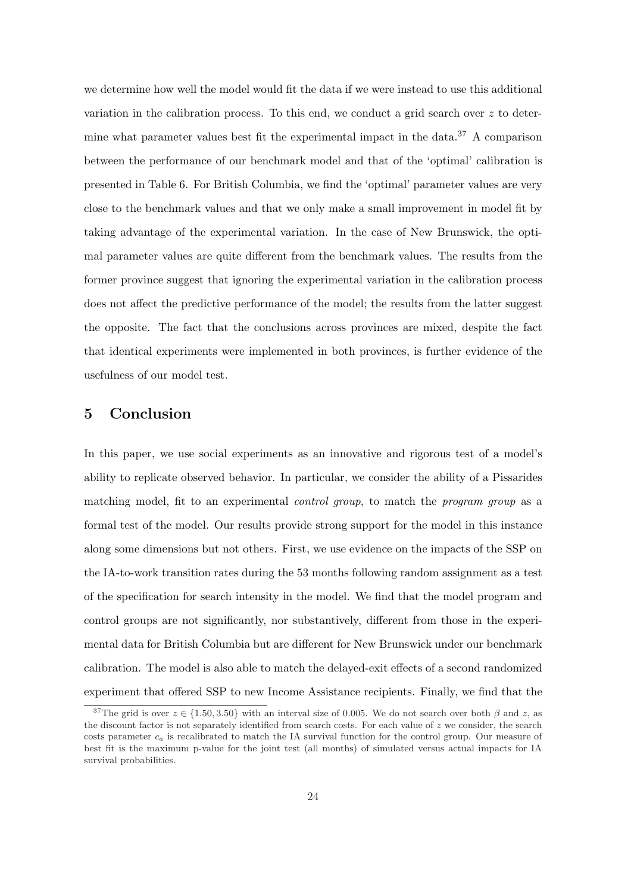we determine how well the model would fit the data if we were instead to use this additional variation in the calibration process. To this end, we conduct a grid search over  $z$  to determine what parameter values best fit the experimental impact in the data.<sup>37</sup> A comparison between the performance of our benchmark model and that of the 'optimal' calibration is presented in Table 6. For British Columbia, we find the 'optimal' parameter values are very close to the benchmark values and that we only make a small improvement in model fit by taking advantage of the experimental variation. In the case of New Brunswick, the optimal parameter values are quite different from the benchmark values. The results from the former province suggest that ignoring the experimental variation in the calibration process does not affect the predictive performance of the model; the results from the latter suggest the opposite. The fact that the conclusions across provinces are mixed, despite the fact that identical experiments were implemented in both provinces, is further evidence of the usefulness of our model test.

### 5 Conclusion

In this paper, we use social experiments as an innovative and rigorous test of a model's ability to replicate observed behavior. In particular, we consider the ability of a Pissarides matching model, fit to an experimental *control group*, to match the *program group* as a formal test of the model. Our results provide strong support for the model in this instance along some dimensions but not others. First, we use evidence on the impacts of the SSP on the IA-to-work transition rates during the 53 months following random assignment as a test of the specification for search intensity in the model. We find that the model program and control groups are not significantly, nor substantively, different from those in the experimental data for British Columbia but are different for New Brunswick under our benchmark calibration. The model is also able to match the delayed-exit effects of a second randomized experiment that offered SSP to new Income Assistance recipients. Finally, we find that the

<sup>&</sup>lt;sup>37</sup>The grid is over  $z \in \{1.50, 3.50\}$  with an interval size of 0.005. We do not search over both  $\beta$  and z, as the discount factor is not separately identified from search costs. For each value of  $z$  we consider, the search costs parameter  $c_a$  is recalibrated to match the IA survival function for the control group. Our measure of best fit is the maximum p-value for the joint test (all months) of simulated versus actual impacts for IA survival probabilities.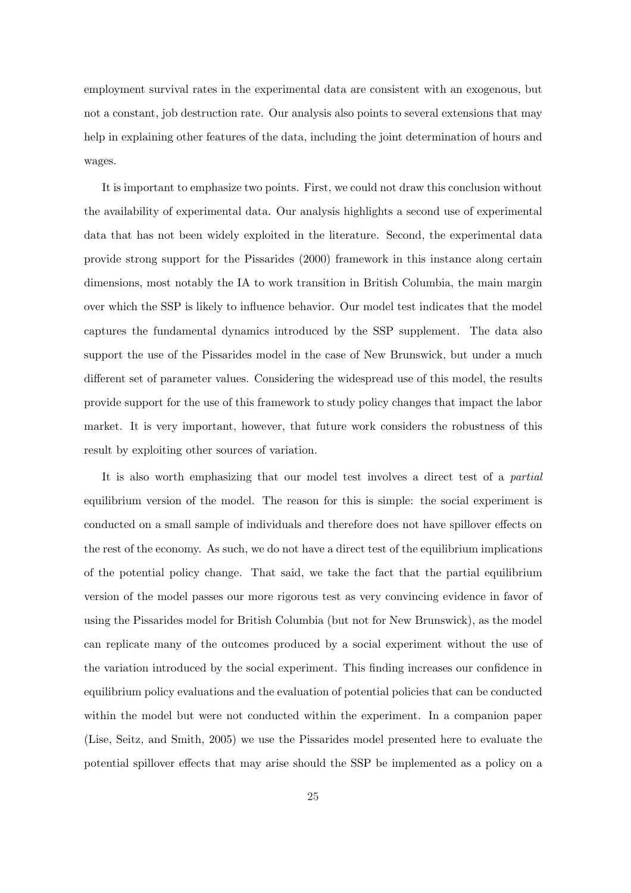employment survival rates in the experimental data are consistent with an exogenous, but not a constant, job destruction rate. Our analysis also points to several extensions that may help in explaining other features of the data, including the joint determination of hours and wages.

It is important to emphasize two points. First, we could not draw this conclusion without the availability of experimental data. Our analysis highlights a second use of experimental data that has not been widely exploited in the literature. Second, the experimental data provide strong support for the Pissarides (2000) framework in this instance along certain dimensions, most notably the IA to work transition in British Columbia, the main margin over which the SSP is likely to influence behavior. Our model test indicates that the model captures the fundamental dynamics introduced by the SSP supplement. The data also support the use of the Pissarides model in the case of New Brunswick, but under a much different set of parameter values. Considering the widespread use of this model, the results provide support for the use of this framework to study policy changes that impact the labor market. It is very important, however, that future work considers the robustness of this result by exploiting other sources of variation.

It is also worth emphasizing that our model test involves a direct test of a partial equilibrium version of the model. The reason for this is simple: the social experiment is conducted on a small sample of individuals and therefore does not have spillover effects on the rest of the economy. As such, we do not have a direct test of the equilibrium implications of the potential policy change. That said, we take the fact that the partial equilibrium version of the model passes our more rigorous test as very convincing evidence in favor of using the Pissarides model for British Columbia (but not for New Brunswick), as the model can replicate many of the outcomes produced by a social experiment without the use of the variation introduced by the social experiment. This finding increases our confidence in equilibrium policy evaluations and the evaluation of potential policies that can be conducted within the model but were not conducted within the experiment. In a companion paper (Lise, Seitz, and Smith, 2005) we use the Pissarides model presented here to evaluate the potential spillover effects that may arise should the SSP be implemented as a policy on a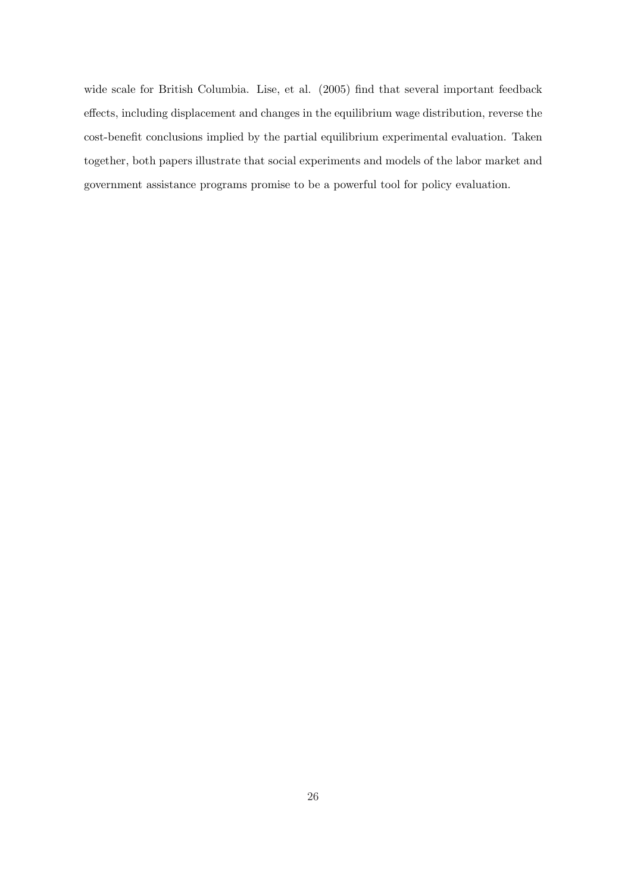wide scale for British Columbia. Lise, et al. (2005) find that several important feedback effects, including displacement and changes in the equilibrium wage distribution, reverse the cost-benefit conclusions implied by the partial equilibrium experimental evaluation. Taken together, both papers illustrate that social experiments and models of the labor market and government assistance programs promise to be a powerful tool for policy evaluation.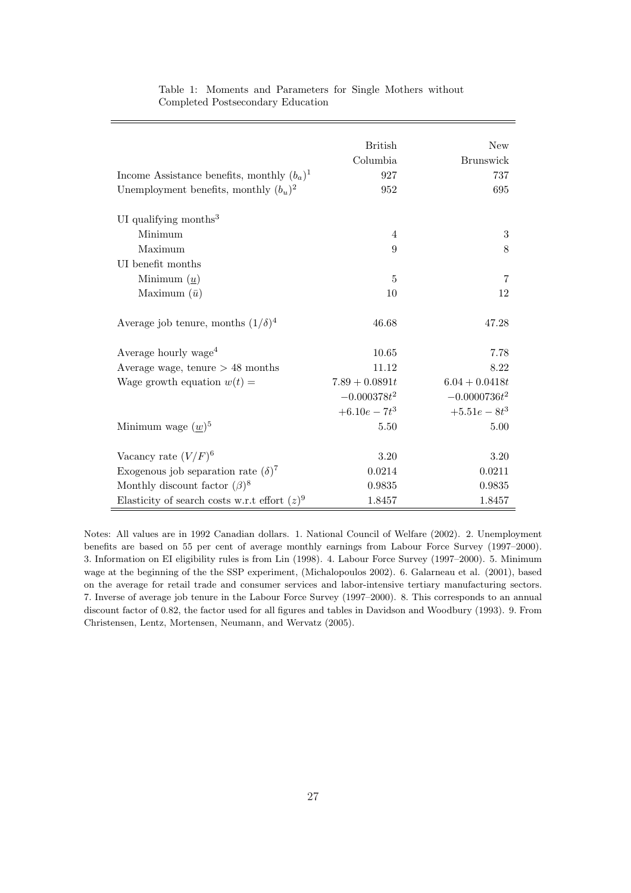|                                                 | <b>British</b>   | New              |
|-------------------------------------------------|------------------|------------------|
|                                                 | Columbia         | <b>Brunswick</b> |
| Income Assistance benefits, monthly $(b_a)^1$   | 927              | 737              |
| Unemployment benefits, monthly $(b_u)^2$        | 952              | 695              |
| UI qualifying months $3$                        |                  |                  |
| Minimum                                         | 4                | 3                |
| Maximum                                         | 9                | 8                |
| UI benefit months                               |                  |                  |
| Minimum $(\underline{u})$                       | $\overline{5}$   | 7                |
| Maximum $(\bar{u})$                             | 10               | 12               |
|                                                 |                  |                  |
| Average job tenure, months $(1/\delta)^4$       | 46.68            | 47.28            |
| Average hourly wage <sup>4</sup>                | 10.65            | 7.78             |
| Average wage, tenure $> 48$ months              | 11.12            | 8.22             |
| Wage growth equation $w(t) =$                   | $7.89 + 0.0891t$ | $6.04 + 0.0418t$ |
|                                                 | $-0.000378t^2$   | $-0.0000736t^2$  |
|                                                 | $+6.10e-7t^3$    | $+5.51e-8t^3$    |
| Minimum wage $(\underline{w})^5$                | 5.50             | 5.00             |
|                                                 |                  |                  |
| Vacancy rate $(V/F)^6$                          | 3.20             | 3.20             |
| Exogenous job separation rate $(\delta)^7$      | 0.0214           | 0.0211           |
| Monthly discount factor $(\beta)^8$             | 0.9835           | 0.9835           |
| Elasticity of search costs w.r.t effort $(z)^9$ | 1.8457           | 1.8457           |

Table 1: Moments and Parameters for Single Mothers without Completed Postsecondary Education

Notes: All values are in 1992 Canadian dollars. 1. National Council of Welfare (2002). 2. Unemployment benefits are based on 55 per cent of average monthly earnings from Labour Force Survey (1997–2000). 3. Information on EI eligibility rules is from Lin (1998). 4. Labour Force Survey (1997–2000). 5. Minimum wage at the beginning of the the SSP experiment, (Michalopoulos 2002). 6. Galarneau et al. (2001), based on the average for retail trade and consumer services and labor-intensive tertiary manufacturing sectors. 7. Inverse of average job tenure in the Labour Force Survey (1997–2000). 8. This corresponds to an annual discount factor of 0.82, the factor used for all figures and tables in Davidson and Woodbury (1993). 9. From Christensen, Lentz, Mortensen, Neumann, and Wervatz (2005).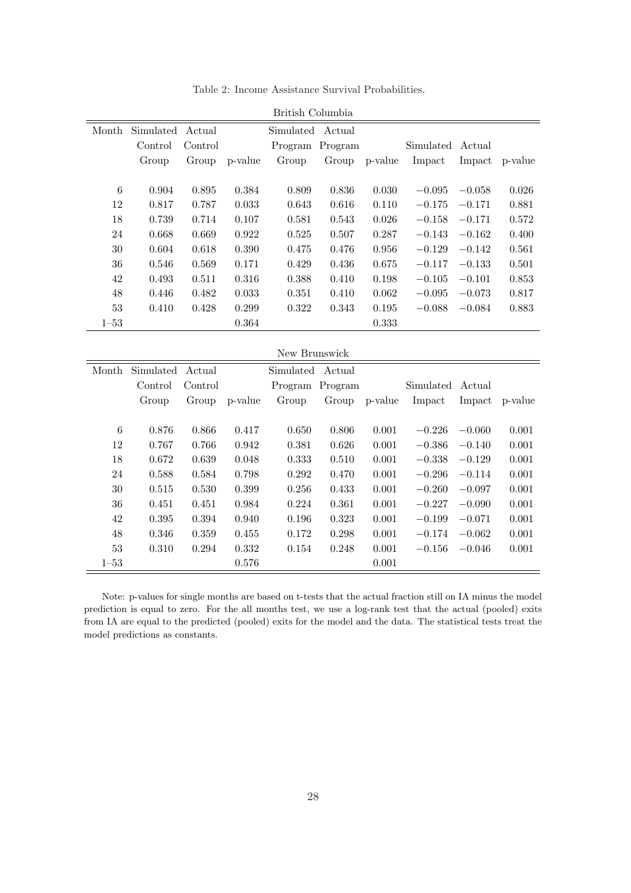|                  |             |             |             | British Columbia |        |         |                  |          |         |
|------------------|-------------|-------------|-------------|------------------|--------|---------|------------------|----------|---------|
| Month            | Simulated   | Actual      |             | Simulated Actual |        |         |                  |          |         |
|                  | Control     | Control     |             | Program Program  |        |         | Simulated Actual |          |         |
|                  | Group       | Group       | p-value     | Group            | Group  | p-value | Impact           | Impact   | p-value |
|                  |             |             |             |                  |        |         |                  |          |         |
| $6\phantom{.}6$  | 0.904       | $0.895\,$   | $\!.384$    | 0.809            | 0.836  | 0.030   | $-0.095$         | $-0.058$ | 0.026   |
| 12               | 0.817       | 0.787       | 0.033       | 0.643            | 0.616  | 0.110   | $-0.175$         | $-0.171$ | 0.881   |
| 18               | 0.739       | 0.714       | 0.107       | 0.581            | 0.543  | 0.026   | $-0.158$         | $-0.171$ | 0.572   |
| 24               | 0.668       | 0.669       | 0.922       | 0.525            | 0.507  | 0.287   | $-0.143$         | $-0.162$ | 0.400   |
| $30\,$           | 0.604       | 0.618       | 0.390       | 0.475            | 0.476  | 0.956   | $-0.129$         | $-0.142$ | 0.561   |
| 36               | 0.546       | 0.569       | 0.171       | 0.429            | 0.436  | 0.675   | $-0.117$         | $-0.133$ | 0.501   |
| 42               | $\,0.493\,$ | 0.511       | 0.316       | 0.388            | 0.410  | 0.198   | $-0.105$         | $-0.101$ | 0.853   |
| 48               | 0.446       | 0.482       | 0.033       | 0.351            | 0.410  | 0.062   | $-0.095$         | $-0.073$ | 0.817   |
| 53               | 0.410       | 0.428       | 0.299       | 0.322            | 0.343  | 0.195   | $-0.088$         | $-0.084$ | 0.883   |
| $1 - 53$         |             |             | $\,0.364\,$ |                  |        | 0.333   |                  |          |         |
|                  |             |             |             |                  |        |         |                  |          |         |
|                  |             |             |             | New Brunswick    |        |         |                  |          |         |
| Month            | Simulated   | Actual      |             | Simulated        | Actual |         |                  |          |         |
|                  | Control     | Control     |             | Program Program  |        |         | Simulated        | Actual   |         |
|                  | Group       | Group       | p-value     | Group            | Group  | p-value | Impact           | Impact   | p-value |
|                  |             |             |             |                  |        |         |                  |          |         |
| $\boldsymbol{6}$ | 0.876       | 0.866       | 0.417       | 0.650            | 0.806  | 0.001   | $-0.226$         | $-0.060$ | 0.001   |
| 12               | 0.767       | 0.766       | 0.942       | 0.381            | 0.626  | 0.001   | $-0.386$         | $-0.140$ | 0.001   |
| 18               | 0.672       | 0.639       | 0.048       | 0.333            | 0.510  | 0.001   | $-0.338$         | $-0.129$ | 0.001   |
| 24               | 0.588       | 0.584       | 0.798       | 0.292            | 0.470  | 0.001   | $-0.296$         | $-0.114$ | 0.001   |
| 30               | 0.515       | $0.530\,$   | 0.399       | 0.256            | 0.433  | 0.001   | $-0.260$         | $-0.097$ | 0.001   |
| 36               | 0.451       | 0.451       | $\,0.984\,$ | 0.224            | 0.361  | 0.001   | $-0.227$         | $-0.090$ | 0.001   |
| 42               | 0.395       | 0.394       | 0.940       | 0.196            | 0.323  | 0.001   | $-0.199$         | $-0.071$ | 0.001   |
| 48               | 0.346       | $\,0.359\,$ | 0.455       | 0.172            | 0.298  | 0.001   | $-0.174$         | $-0.062$ | 0.001   |
| 53               | 0.310       | $0.294\,$   | 0.332       | 0.154            | 0.248  | 0.001   | $-0.156$         | $-0.046$ | 0.001   |
| $1 - 53$         |             |             | $0.576\,$   |                  |        | 0.001   |                  |          |         |

Table 2: Income Assistance Survival Probabilities.

Note: p-values for single months are based on t-tests that the actual fraction still on IA minus the model prediction is equal to zero. For the all months test, we use a log-rank test that the actual (pooled) exits from IA are equal to the predicted (pooled) exits for the model and the data. The statistical tests treat the model predictions as constants.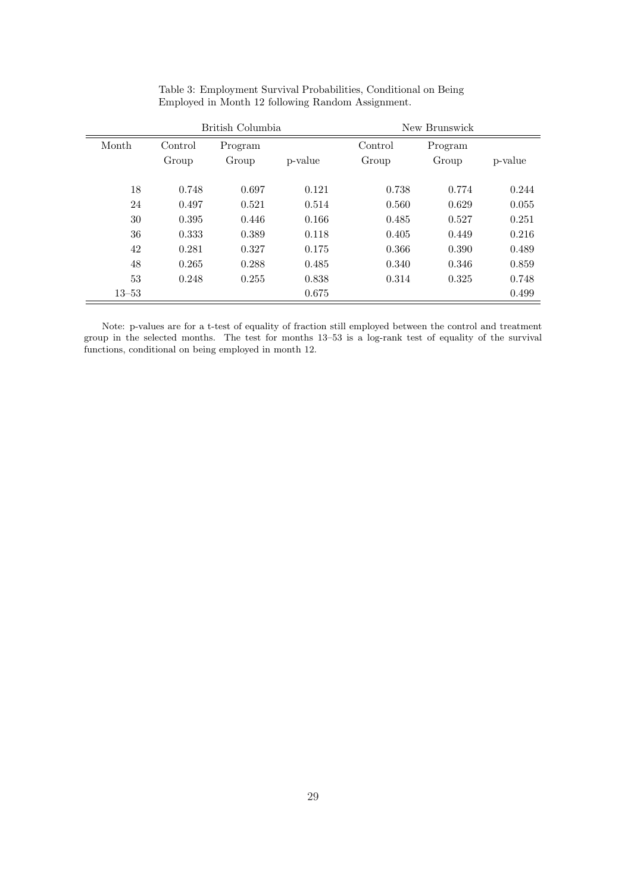|           |         | British Columbia |         | New Brunswick |         |         |
|-----------|---------|------------------|---------|---------------|---------|---------|
| Month     | Control | Program          |         | Control       | Program |         |
|           | Group   | Group            | p-value | Group         | Group   | p-value |
|           |         |                  |         |               |         |         |
| 18        | 0.748   | 0.697            | 0.121   | 0.738         | 0.774   | 0.244   |
| 24        | 0.497   | 0.521            | 0.514   | 0.560         | 0.629   | 0.055   |
| 30        | 0.395   | 0.446            | 0.166   | 0.485         | 0.527   | 0.251   |
| 36        | 0.333   | 0.389            | 0.118   | 0.405         | 0.449   | 0.216   |
| 42        | 0.281   | 0.327            | 0.175   | 0.366         | 0.390   | 0.489   |
| 48        | 0.265   | 0.288            | 0.485   | 0.340         | 0.346   | 0.859   |
| 53        | 0.248   | 0.255            | 0.838   | 0.314         | 0.325   | 0.748   |
| $13 - 53$ |         |                  | 0.675   |               |         | 0.499   |
|           |         |                  |         |               |         |         |

Table 3: Employment Survival Probabilities, Conditional on Being Employed in Month 12 following Random Assignment.

Note: p-values are for a t-test of equality of fraction still employed between the control and treatment group in the selected months. The test for months 13–53 is a log-rank test of equality of the survival functions, conditional on being employed in month 12.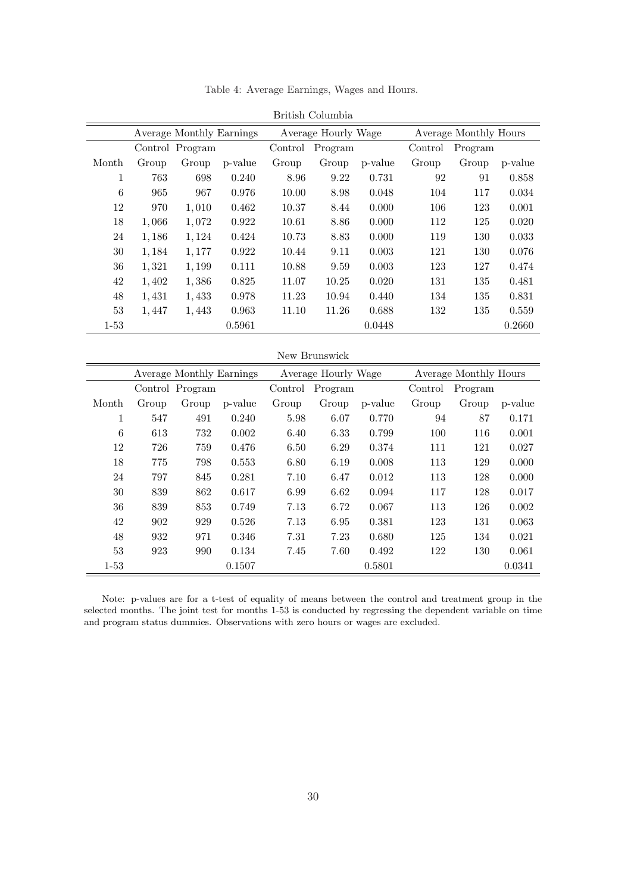| British Columbia |       |                          |         |         |                     |         |         |                       |         |
|------------------|-------|--------------------------|---------|---------|---------------------|---------|---------|-----------------------|---------|
|                  |       | Average Monthly Earnings |         |         | Average Hourly Wage |         |         | Average Monthly Hours |         |
|                  |       | Control Program          |         | Control | Program             |         | Control | Program               |         |
| Month            | Group | Group                    | p-value | Group   | Group               | p-value | Group   | Group                 | p-value |
| 1                | 763   | 698                      | 0.240   | 8.96    | 9.22                | 0.731   | 92      | 91                    | 0.858   |
| 6                | 965   | 967                      | 0.976   | 10.00   | 8.98                | 0.048   | 104     | 117                   | 0.034   |
| 12               | 970   | 1,010                    | 0.462   | 10.37   | 8.44                | 0.000   | 106     | 123                   | 0.001   |
| 18               | 1,066 | 1,072                    | 0.922   | 10.61   | 8.86                | 0.000   | 112     | 125                   | 0.020   |
| 24               | 1,186 | 1,124                    | 0.424   | 10.73   | 8.83                | 0.000   | 119     | 130                   | 0.033   |
| 30               | 1,184 | 1,177                    | 0.922   | 10.44   | 9.11                | 0.003   | 121     | 130                   | 0.076   |
| 36               | 1,321 | 1,199                    | 0.111   | 10.88   | 9.59                | 0.003   | 123     | 127                   | 0.474   |
| 42               | 1,402 | 1,386                    | 0.825   | 11.07   | 10.25               | 0.020   | 131     | 135                   | 0.481   |
| 48               | 1,431 | 1,433                    | 0.978   | 11.23   | 10.94               | 0.440   | 134     | 135                   | 0.831   |
| 53               | 1,447 | 1,443                    | 0.963   | 11.10   | 11.26               | 0.688   | 132     | 135                   | 0.559   |
| $1 - 53$         |       |                          | 0.5961  |         |                     | 0.0448  |         |                       | 0.2660  |

Table 4: Average Earnings, Wages and Hours.

| New Brunswick |       |                          |         |         |                     |         |         |                       |         |
|---------------|-------|--------------------------|---------|---------|---------------------|---------|---------|-----------------------|---------|
|               |       | Average Monthly Earnings |         |         | Average Hourly Wage |         |         | Average Monthly Hours |         |
|               |       | Control Program          |         | Control | Program             |         | Control | Program               |         |
| Month         | Group | Group                    | p-value | Group   | Group               | p-value | Group   | Group                 | p-value |
| 1             | 547   | 491                      | 0.240   | 5.98    | 6.07                | 0.770   | 94      | 87                    | 0.171   |
| 6             | 613   | 732                      | 0.002   | 6.40    | 6.33                | 0.799   | 100     | 116                   | 0.001   |
| 12            | 726   | 759                      | 0.476   | 6.50    | 6.29                | 0.374   | 111     | 121                   | 0.027   |
| 18            | 775   | 798                      | 0.553   | 6.80    | 6.19                | 0.008   | 113     | 129                   | 0.000   |
| 24            | 797   | 845                      | 0.281   | 7.10    | 6.47                | 0.012   | 113     | 128                   | 0.000   |
| 30            | 839   | 862                      | 0.617   | 6.99    | 6.62                | 0.094   | 117     | 128                   | 0.017   |
| 36            | 839   | 853                      | 0.749   | 7.13    | 6.72                | 0.067   | 113     | 126                   | 0.002   |
| 42            | 902   | 929                      | 0.526   | 7.13    | 6.95                | 0.381   | 123     | 131                   | 0.063   |
| 48            | 932   | 971                      | 0.346   | 7.31    | 7.23                | 0.680   | 125     | 134                   | 0.021   |
| 53            | 923   | 990                      | 0.134   | 7.45    | 7.60                | 0.492   | 122     | 130                   | 0.061   |
| $1-53$        |       |                          | 0.1507  |         |                     | 0.5801  |         |                       | 0.0341  |

Note: p-values are for a t-test of equality of means between the control and treatment group in the selected months. The joint test for months 1-53 is conducted by regressing the dependent variable on time and program status dummies. Observations with zero hours or wages are excluded.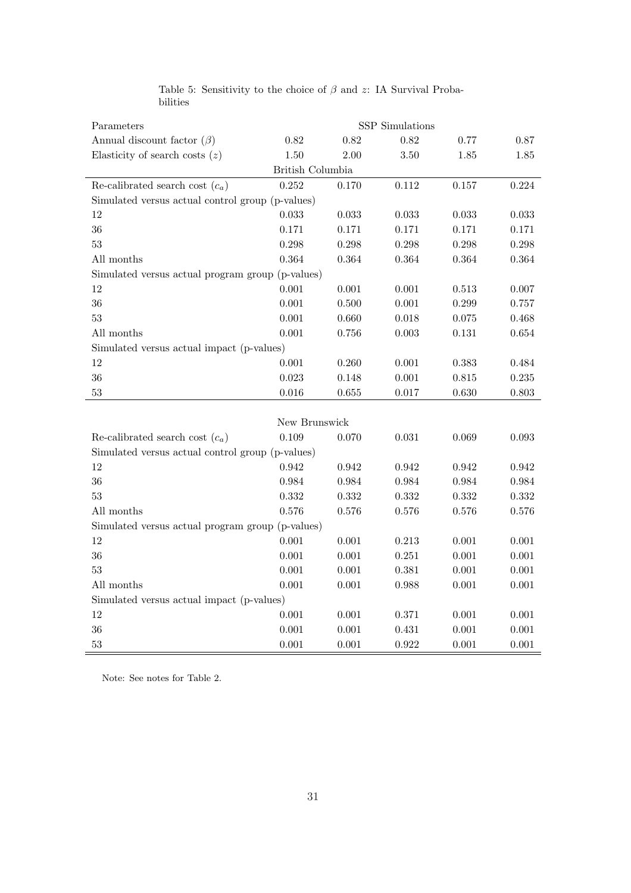| Parameters                                       | SSP Simulations |             |             |           |             |  |  |  |
|--------------------------------------------------|-----------------|-------------|-------------|-----------|-------------|--|--|--|
| Annual discount factor $(\beta)$                 | $0.82\,$        | 0.82        | $\rm 0.82$  | 0.77      | $0.87\,$    |  |  |  |
| Elasticity of search costs $(z)$                 | 1.50            | 2.00        | 3.50        | 1.85      | 1.85        |  |  |  |
| British Columbia                                 |                 |             |             |           |             |  |  |  |
| Re-calibrated search cost $(c_a)$                | 0.252           | 0.170       | 0.112       | 0.157     | 0.224       |  |  |  |
| Simulated versus actual control group (p-values) |                 |             |             |           |             |  |  |  |
| 12                                               | 0.033           | 0.033       | $\,0.033\,$ | 0.033     | $\,0.033\,$ |  |  |  |
| 36                                               | 0.171           | 0.171       | 0.171       | 0.171     | 0.171       |  |  |  |
| $53\,$                                           | 0.298           | 0.298       | 0.298       | 0.298     | 0.298       |  |  |  |
| All months                                       | 0.364           | $\,0.364\,$ | $\,0.364\,$ | 0.364     | $\,0.364\,$ |  |  |  |
| Simulated versus actual program group (p-values) |                 |             |             |           |             |  |  |  |
| $12\,$                                           | 0.001           | $0.001\,$   | 0.001       | 0.513     | 0.007       |  |  |  |
| 36                                               | 0.001           | 0.500       | 0.001       | 0.299     | 0.757       |  |  |  |
| $53\,$                                           | 0.001           | 0.660       | $0.018\,$   | 0.075     | 0.468       |  |  |  |
| All months                                       | 0.001           | 0.756       | 0.003       | 0.131     | $\,0.654\,$ |  |  |  |
| Simulated versus actual impact (p-values)        |                 |             |             |           |             |  |  |  |
| 12                                               | 0.001           | 0.260       | 0.001       | 0.383     | 0.484       |  |  |  |
| $36\,$                                           | $\,0.023\,$     | 0.148       | 0.001       | 0.815     | $0.235\,$   |  |  |  |
| $53\,$                                           | $0.016\,$       | $0.655\,$   | $0.017\,$   | 0.630     | $0.803\,$   |  |  |  |
|                                                  |                 |             |             |           |             |  |  |  |
|                                                  | New Brunswick   |             |             |           |             |  |  |  |
| Re-calibrated search cost $(c_a)$                | 0.109           | 0.070       | 0.031       | 0.069     | 0.093       |  |  |  |
| Simulated versus actual control group (p-values) |                 |             |             |           |             |  |  |  |
| 12                                               | 0.942           | $\,0.942\,$ | 0.942       | 0.942     | 0.942       |  |  |  |
| $36\,$                                           | 0.984           | 0.984       | 0.984       | 0.984     | $\,0.984\,$ |  |  |  |
| $53\,$                                           | $\rm 0.332$     | $0.332\,$   | $0.332\,$   | 0.332     | 0.332       |  |  |  |
| All months                                       | 0.576           | $0.576\,$   | $0.576\,$   | 0.576     | $0.576\,$   |  |  |  |
| Simulated versus actual program group (p-values) |                 |             |             |           |             |  |  |  |
| $12\,$                                           | 0.001           | 0.001       | 0.213       | 0.001     | 0.001       |  |  |  |
| 36                                               | 0.001           | $0.001\,$   | 0.251       | 0.001     | 0.001       |  |  |  |
| 53                                               | 0.001           | $0.001\,$   | 0.381       | $0.001\,$ | 0.001       |  |  |  |
| All months                                       | 0.001           | $0.001\,$   | 0.988       | 0.001     | $0.001\,$   |  |  |  |
| Simulated versus actual impact (p-values)        |                 |             |             |           |             |  |  |  |
| 12                                               | $0.001\,$       | $0.001\,$   | 0.371       | 0.001     | 0.001       |  |  |  |
| 36                                               | 0.001           | 0.001       | 0.431       | 0.001     | $0.001\,$   |  |  |  |
| $53\,$                                           | 0.001           | 0.001       | 0.922       | 0.001     | 0.001       |  |  |  |

### Table 5: Sensitivity to the choice of  $\beta$  and  $z$ : IA Survival Probabilities

Note: See notes for Table 2.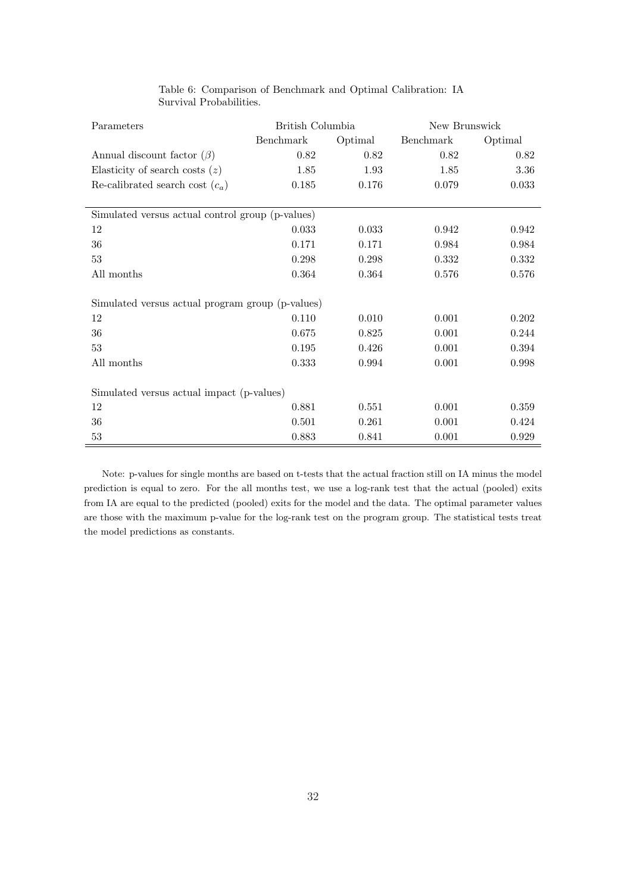| Parameters                                       | British Columbia |         | New Brunswick |         |  |  |  |
|--------------------------------------------------|------------------|---------|---------------|---------|--|--|--|
|                                                  | Benchmark        | Optimal | Benchmark     | Optimal |  |  |  |
| Annual discount factor $(\beta)$                 | 0.82             | 0.82    | 0.82          | 0.82    |  |  |  |
| Elasticity of search costs $(z)$                 | 1.85             | 1.93    | 1.85          | 3.36    |  |  |  |
| Re-calibrated search cost $(c_a)$                | 0.185            | 0.176   | 0.079         | 0.033   |  |  |  |
|                                                  |                  |         |               |         |  |  |  |
| Simulated versus actual control group (p-values) |                  |         |               |         |  |  |  |
| 12                                               | 0.033            | 0.033   | 0.942         | 0.942   |  |  |  |
| 36                                               | 0.171            | 0.171   | 0.984         | 0.984   |  |  |  |
| $53\,$                                           | 0.298            | 0.298   | 0.332         | 0.332   |  |  |  |
| All months                                       | 0.364            | 0.364   | 0.576         | 0.576   |  |  |  |
| Simulated versus actual program group (p-values) |                  |         |               |         |  |  |  |
| 12                                               | 0.110            | 0.010   | $0.001\,$     | 0.202   |  |  |  |
| 36                                               | 0.675            | 0.825   | 0.001         | 0.244   |  |  |  |
| 53                                               | 0.195            | 0.426   | 0.001         | 0.394   |  |  |  |
| All months                                       | 0.333            | 0.994   | 0.001         | 0.998   |  |  |  |
| Simulated versus actual impact (p-values)        |                  |         |               |         |  |  |  |
| 12                                               | 0.881            | 0.551   | 0.001         | 0.359   |  |  |  |
| 36                                               | 0.501            | 0.261   | 0.001         | 0.424   |  |  |  |
| 53                                               | 0.883            | 0.841   | 0.001         | 0.929   |  |  |  |

### Table 6: Comparison of Benchmark and Optimal Calibration: IA Survival Probabilities.

Note: p-values for single months are based on t-tests that the actual fraction still on IA minus the model prediction is equal to zero. For the all months test, we use a log-rank test that the actual (pooled) exits from IA are equal to the predicted (pooled) exits for the model and the data. The optimal parameter values are those with the maximum p-value for the log-rank test on the program group. The statistical tests treat the model predictions as constants.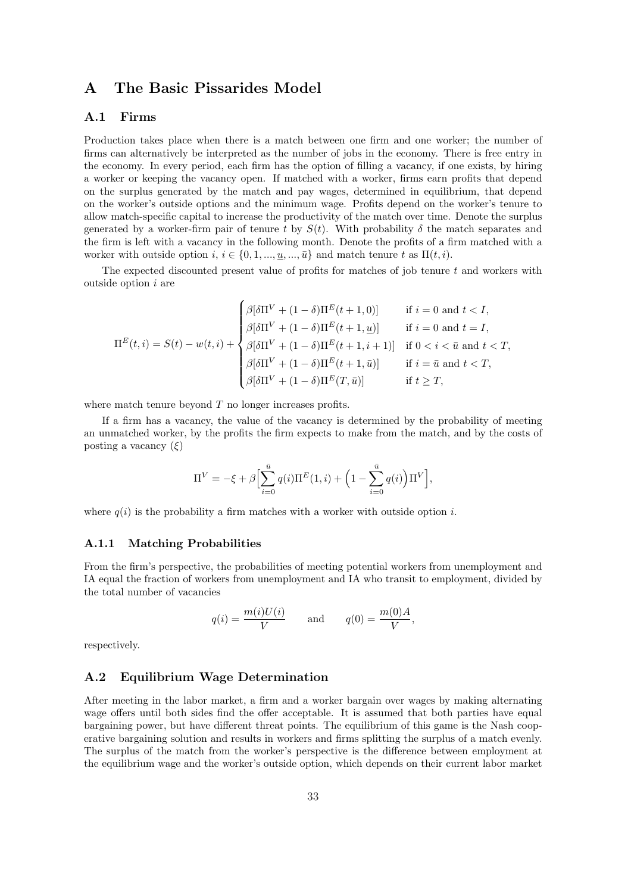### A The Basic Pissarides Model

### A.1 Firms

Production takes place when there is a match between one firm and one worker; the number of firms can alternatively be interpreted as the number of jobs in the economy. There is free entry in the economy. In every period, each firm has the option of filling a vacancy, if one exists, by hiring a worker or keeping the vacancy open. If matched with a worker, firms earn profits that depend on the surplus generated by the match and pay wages, determined in equilibrium, that depend on the worker's outside options and the minimum wage. Profits depend on the worker's tenure to allow match-specific capital to increase the productivity of the match over time. Denote the surplus generated by a worker-firm pair of tenure t by  $S(t)$ . With probability  $\delta$  the match separates and the firm is left with a vacancy in the following month. Denote the profits of a firm matched with a worker with outside option  $i, i \in \{0, 1, ..., \underline{u}, ..., \overline{u}\}$  and match tenure t as  $\Pi(t, i)$ .

The expected discounted present value of profits for matches of job tenure t and workers with outside option i are

$$
\Pi^{E}(t,i) = S(t) - w(t,i) + \begin{cases} \beta[\delta\Pi^{V} + (1-\delta)\Pi^{E}(t+1,0)] & \text{if } i = 0 \text{ and } t < I, \\ \beta[\delta\Pi^{V} + (1-\delta)\Pi^{E}(t+1,\underline{u})] & \text{if } i = 0 \text{ and } t = I, \\ \beta[\delta\Pi^{V} + (1-\delta)\Pi^{E}(t+1,i+1)] & \text{if } 0 < i < \bar{u} \text{ and } t < T, \\ \beta[\delta\Pi^{V} + (1-\delta)\Pi^{E}(t+1,\bar{u})] & \text{if } i = \bar{u} \text{ and } t < T, \\ \beta[\delta\Pi^{V} + (1-\delta)\Pi^{E}(T,\bar{u})] & \text{if } t \ge T, \end{cases}
$$

where match tenure beyond  $T$  no longer increases profits.

If a firm has a vacancy, the value of the vacancy is determined by the probability of meeting an unmatched worker, by the profits the firm expects to make from the match, and by the costs of posting a vacancy  $(\xi)$ 

$$
\label{eq:Pi} \Pi^V = -\xi + \beta \Bigl[ \sum_{i=0}^{\bar{u}} q(i) \Pi^E(1,i) + \Bigl( 1 - \sum_{i=0}^{\bar{u}} q(i) \Bigr) \Pi^V \Bigr],
$$

where  $q(i)$  is the probability a firm matches with a worker with outside option i.

### A.1.1 Matching Probabilities

From the firm's perspective, the probabilities of meeting potential workers from unemployment and IA equal the fraction of workers from unemployment and IA who transit to employment, divided by the total number of vacancies

$$
q(i) = \frac{m(i)U(i)}{V} \quad \text{and} \quad q(0) = \frac{m(0)A}{V},
$$

respectively.

### A.2 Equilibrium Wage Determination

After meeting in the labor market, a firm and a worker bargain over wages by making alternating wage offers until both sides find the offer acceptable. It is assumed that both parties have equal bargaining power, but have different threat points. The equilibrium of this game is the Nash cooperative bargaining solution and results in workers and firms splitting the surplus of a match evenly. The surplus of the match from the worker's perspective is the difference between employment at the equilibrium wage and the worker's outside option, which depends on their current labor market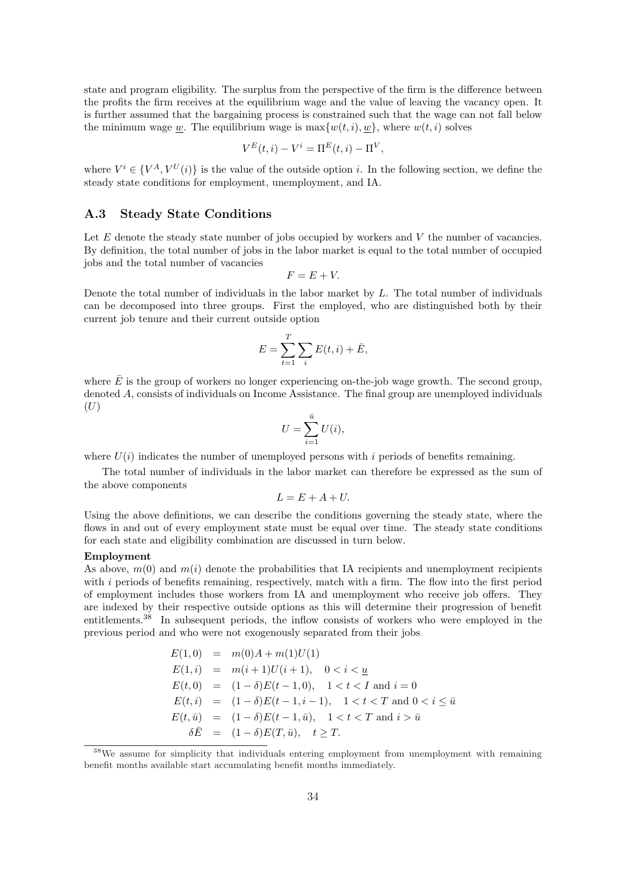state and program eligibility. The surplus from the perspective of the firm is the difference between the profits the firm receives at the equilibrium wage and the value of leaving the vacancy open. It is further assumed that the bargaining process is constrained such that the wage can not fall below the minimum wage w. The equilibrium wage is max $\{w(t, i), w\}$ , where  $w(t, i)$  solves

$$
V^{E}(t,i) - V^{i} = \Pi^{E}(t,i) - \Pi^{V},
$$

where  $V^i \in \{V^A, V^U(i)\}$  is the value of the outside option i. In the following section, we define the steady state conditions for employment, unemployment, and IA.

### A.3 Steady State Conditions

Let  $E$  denote the steady state number of jobs occupied by workers and  $V$  the number of vacancies. By definition, the total number of jobs in the labor market is equal to the total number of occupied jobs and the total number of vacancies

$$
F = E + V.
$$

Denote the total number of individuals in the labor market by L. The total number of individuals can be decomposed into three groups. First the employed, who are distinguished both by their current job tenure and their current outside option

$$
E = \sum_{t=1}^{T} \sum_{i} E(t, i) + \bar{E},
$$

where  $\bar{E}$  is the group of workers no longer experiencing on-the-job wage growth. The second group, denoted A, consists of individuals on Income Assistance. The final group are unemployed individuals  $(U)$ 

$$
U=\sum_{i=1}^{\bar{u}}U(i),
$$

where  $U(i)$  indicates the number of unemployed persons with i periods of benefits remaining.

The total number of individuals in the labor market can therefore be expressed as the sum of the above components

$$
L = E + A + U.
$$

Using the above definitions, we can describe the conditions governing the steady state, where the flows in and out of every employment state must be equal over time. The steady state conditions for each state and eligibility combination are discussed in turn below.

### Employment

As above,  $m(0)$  and  $m(i)$  denote the probabilities that IA recipients and unemployment recipients with i periods of benefits remaining, respectively, match with a firm. The flow into the first period of employment includes those workers from IA and unemployment who receive job offers. They are indexed by their respective outside options as this will determine their progression of benefit entitlements.<sup>38</sup> In subsequent periods, the inflow consists of workers who were employed in the previous period and who were not exogenously separated from their jobs

$$
E(1,0) = m(0)A + m(1)U(1)
$$
  
\n
$$
E(1,i) = m(i+1)U(i+1), \quad 0 < i < \underline{u}
$$
  
\n
$$
E(t,0) = (1-\delta)E(t-1,0), \quad 1 < t < I \text{ and } i = 0
$$
  
\n
$$
E(t,i) = (1-\delta)E(t-1,i-1), \quad 1 < t < T \text{ and } 0 < i \le \overline{u}
$$
  
\n
$$
E(t,\overline{u}) = (1-\delta)E(t-1,\overline{u}), \quad 1 < t < T \text{ and } i > \overline{u}
$$
  
\n
$$
\delta \overline{E} = (1-\delta)E(T,\overline{u}), \quad t \ge T.
$$

<sup>38</sup>We assume for simplicity that individuals entering employment from unemployment with remaining benefit months available start accumulating benefit months immediately.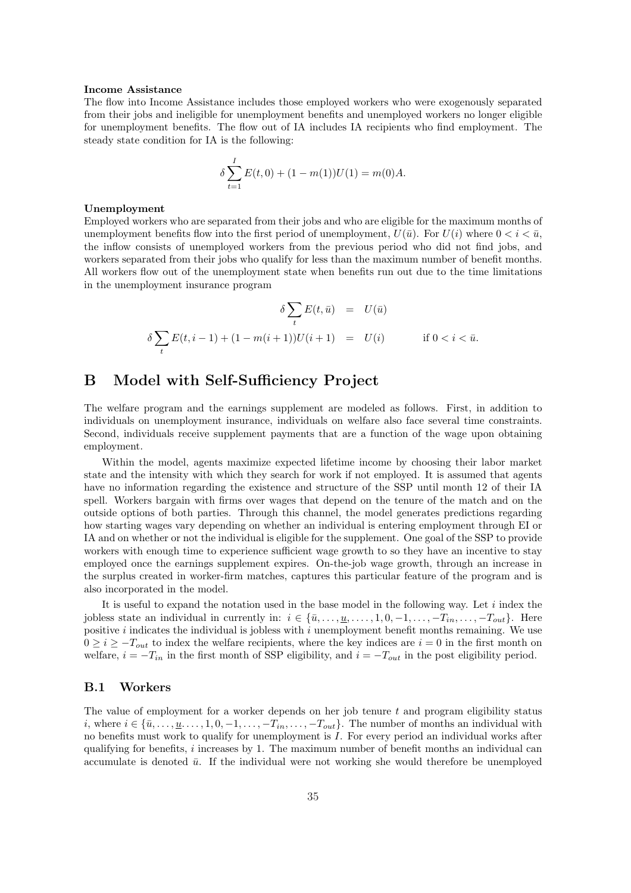### Income Assistance

The flow into Income Assistance includes those employed workers who were exogenously separated from their jobs and ineligible for unemployment benefits and unemployed workers no longer eligible for unemployment benefits. The flow out of IA includes IA recipients who find employment. The steady state condition for IA is the following:

$$
\delta \sum_{t=1}^{I} E(t,0) + (1 - m(1))U(1) = m(0)A.
$$

### Unemployment

Employed workers who are separated from their jobs and who are eligible for the maximum months of unemployment benefits flow into the first period of unemployment,  $U(\bar{u})$ . For  $U(i)$  where  $0 < i < \bar{u}$ , the inflow consists of unemployed workers from the previous period who did not find jobs, and workers separated from their jobs who qualify for less than the maximum number of benefit months. All workers flow out of the unemployment state when benefits run out due to the time limitations in the unemployment insurance program

$$
\delta \sum_{t} E(t, \bar{u}) = U(\bar{u})
$$
  

$$
\delta \sum_{t} E(t, i-1) + (1 - m(i+1))U(i+1) = U(i) \quad \text{if } 0 < i < \bar{u}.
$$

### B Model with Self-Sufficiency Project

The welfare program and the earnings supplement are modeled as follows. First, in addition to individuals on unemployment insurance, individuals on welfare also face several time constraints. Second, individuals receive supplement payments that are a function of the wage upon obtaining employment.

Within the model, agents maximize expected lifetime income by choosing their labor market state and the intensity with which they search for work if not employed. It is assumed that agents have no information regarding the existence and structure of the SSP until month 12 of their IA spell. Workers bargain with firms over wages that depend on the tenure of the match and on the outside options of both parties. Through this channel, the model generates predictions regarding how starting wages vary depending on whether an individual is entering employment through EI or IA and on whether or not the individual is eligible for the supplement. One goal of the SSP to provide workers with enough time to experience sufficient wage growth to so they have an incentive to stay employed once the earnings supplement expires. On-the-job wage growth, through an increase in the surplus created in worker-firm matches, captures this particular feature of the program and is also incorporated in the model.

It is useful to expand the notation used in the base model in the following way. Let  $i$  index the jobless state an individual in currently in:  $i \in \{\bar{u}, \ldots, \underline{u}, \ldots, 1, 0, -1, \ldots, -T_{in}, \ldots, -T_{out}\}.$  Here positive  $i$  indicates the individual is jobless with  $i$  unemployment benefit months remaining. We use  $0 \geq i \geq -T_{out}$  to index the welfare recipients, where the key indices are  $i = 0$  in the first month on welfare,  $i = -T_{in}$  in the first month of SSP eligibility, and  $i = -T_{out}$  in the post eligibility period.

### B.1 Workers

The value of employment for a worker depends on her job tenure  $t$  and program eligibility status i, where  $i \in {\overline{u}, \ldots, \underline{u}, \ldots, 1, 0, -1, \ldots, -T_{in}, \ldots, -T_{out}}$ . The number of months an individual with no benefits must work to qualify for unemployment is  $I$ . For every period an individual works after qualifying for benefits,  $i$  increases by 1. The maximum number of benefit months an individual can accumulate is denoted  $\bar{u}$ . If the individual were not working she would therefore be unemployed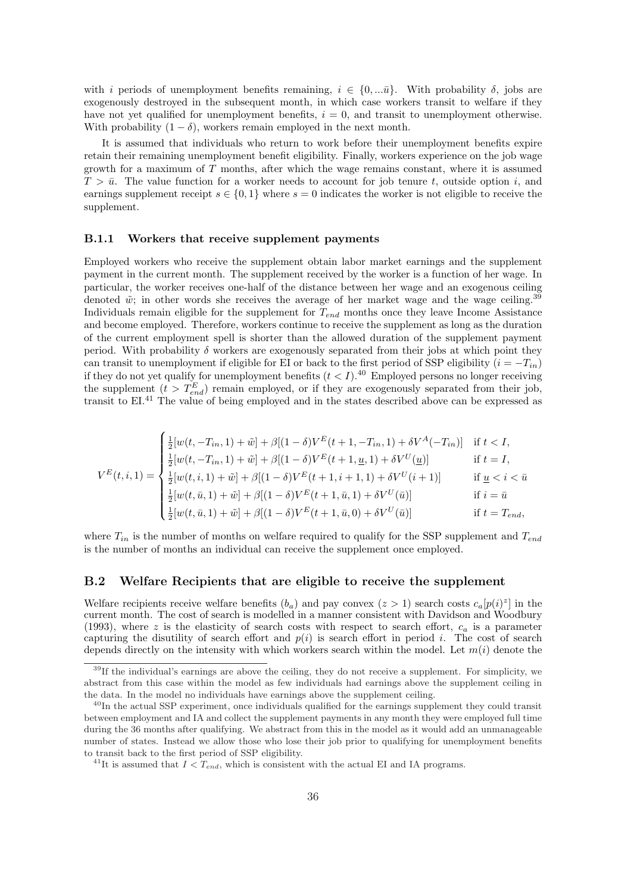with i periods of unemployment benefits remaining,  $i \in \{0, \ldots \bar{u}\}\$ . With probability  $\delta$ , jobs are exogenously destroyed in the subsequent month, in which case workers transit to welfare if they have not yet qualified for unemployment benefits,  $i = 0$ , and transit to unemployment otherwise. With probability  $(1 - \delta)$ , workers remain employed in the next month.

It is assumed that individuals who return to work before their unemployment benefits expire retain their remaining unemployment benefit eligibility. Finally, workers experience on the job wage growth for a maximum of  $T$  months, after which the wage remains constant, where it is assumed  $T > \bar{u}$ . The value function for a worker needs to account for job tenure t, outside option i, and earnings supplement receipt  $s \in \{0, 1\}$  where  $s = 0$  indicates the worker is not eligible to receive the supplement.

### B.1.1 Workers that receive supplement payments

Employed workers who receive the supplement obtain labor market earnings and the supplement payment in the current month. The supplement received by the worker is a function of her wage. In particular, the worker receives one-half of the distance between her wage and an exogenous ceiling denoted  $\tilde{w}$ ; in other words she receives the average of her market wage and the wage ceiling.<sup>39</sup> Individuals remain eligible for the supplement for  $T_{end}$  months once they leave Income Assistance and become employed. Therefore, workers continue to receive the supplement as long as the duration of the current employment spell is shorter than the allowed duration of the supplement payment period. With probability  $\delta$  workers are exogenously separated from their jobs at which point they can transit to unemployment if eligible for EI or back to the first period of SSP eligibility  $(i = -T_{in})$ if they do not yet qualify for unemployment benefits  $(t < I)^{40}$  Employed persons no longer receiving the supplement  $(t > T_{end}^E)$  remain employed, or if they are exogenously separated from their job, transit to EI.<sup>41</sup> The value of being employed and in the states described above can be expressed as

$$
\begin{cases} \frac{1}{2} [w(t, -T_{in}, 1) + \tilde{w}] + \beta [(1 - \delta)V^{E}(t + 1, -T_{in}, 1) + \delta V^{A}(-T_{in})] & \text{if } t < I, \\ \frac{1}{2} [w(t, -T_{in}, 1) + \tilde{w}] + \beta [(1 - \delta)V^{E}(t + 1, \underline{u}, 1) + \delta V^{U}(\underline{u})] & \text{if } t = I, \end{cases}
$$

$$
V^{E}(t, i, 1) = \begin{cases} \frac{1}{2}[w(t, i, 1) + \tilde{w}] + \beta[(1 - \delta)V^{E}(t + 1, i + 1, 1) + \delta V^{U}(i + 1)] & \text{if } \underline{u} < i < \bar{u} \\ \frac{1}{2}[w(t, \bar{u}, 1) + \tilde{w}] + \beta[(1 - \delta)V^{E}(t + 1, \bar{u}, 1) + \delta V^{U}(\bar{u})] & \text{if } i = \bar{u} \\ \frac{1}{2}[w(t, \bar{u}, 1) + \tilde{w}] + \beta[(1 - \delta)V^{E}(t + 1, \bar{u}, 0) + \delta V^{U}(\bar{u})] & \text{if } t = T_{end}, \end{cases}
$$

where  $T_{in}$  is the number of months on welfare required to qualify for the SSP supplement and  $T_{end}$ is the number of months an individual can receive the supplement once employed.

### B.2 Welfare Recipients that are eligible to receive the supplement

Welfare recipients receive welfare benefits  $(b_a)$  and pay convex  $(z > 1)$  search costs  $c_a[p(i)z]$  in the current month. The cost of search is modelled in a manner consistent with Davidson and Woodbury (1993), where z is the elasticity of search costs with respect to search effort,  $c_a$  is a parameter capturing the disutility of search effort and  $p(i)$  is search effort in period i. The cost of search depends directly on the intensity with which workers search within the model. Let  $m(i)$  denote the

<sup>&</sup>lt;sup>39</sup>If the individual's earnings are above the ceiling, they do not receive a supplement. For simplicity, we abstract from this case within the model as few individuals had earnings above the supplement ceiling in the data. In the model no individuals have earnings above the supplement ceiling.

 $^{40}$ In the actual SSP experiment, once individuals qualified for the earnings supplement they could transit between employment and IA and collect the supplement payments in any month they were employed full time during the 36 months after qualifying. We abstract from this in the model as it would add an unmanageable number of states. Instead we allow those who lose their job prior to qualifying for unemployment benefits to transit back to the first period of SSP eligibility.

<sup>&</sup>lt;sup>41</sup>It is assumed that  $I < T_{end}$ , which is consistent with the actual EI and IA programs.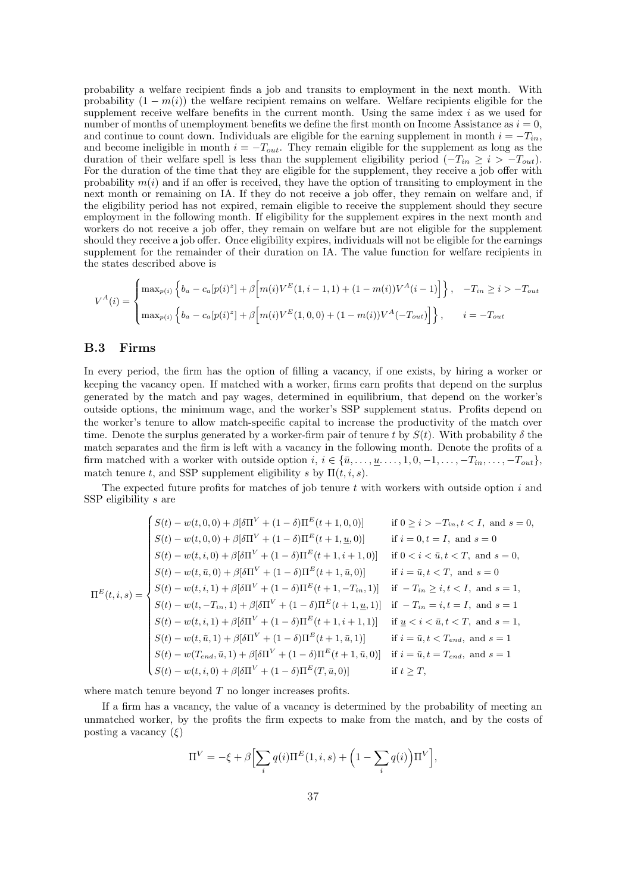probability a welfare recipient finds a job and transits to employment in the next month. With probability  $(1 - m(i))$  the welfare recipient remains on welfare. Welfare recipients eligible for the supplement receive welfare benefits in the current month. Using the same index  $i$  as we used for number of months of unemployment benefits we define the first month on Income Assistance as  $i = 0$ , and continue to count down. Individuals are eligible for the earning supplement in month  $i = -T_{in}$ , and become ineligible in month  $i = -T_{out}$ . They remain eligible for the supplement as long as the duration of their welfare spell is less than the supplement eligibility period  $(-T_{in} \ge i > -T_{out})$ . For the duration of the time that they are eligible for the supplement, they receive a job offer with probability  $m(i)$  and if an offer is received, they have the option of transiting to employment in the next month or remaining on IA. If they do not receive a job offer, they remain on welfare and, if the eligibility period has not expired, remain eligible to receive the supplement should they secure employment in the following month. If eligibility for the supplement expires in the next month and workers do not receive a job offer, they remain on welfare but are not eligible for the supplement should they receive a job offer. Once eligibility expires, individuals will not be eligible for the earnings supplement for the remainder of their duration on IA. The value function for welfare recipients in the states described above is

$$
V^{A}(i) = \begin{cases} \max_{p(i)} \left\{ b_{a} - c_{a}[p(i)^{z}] + \beta \left[ m(i)V^{E}(1, i-1, 1) + (1 - m(i))V^{A}(i-1) \right] \right\}, & -T_{in} \geq i > -T_{out} \\ \max_{p(i)} \left\{ b_{a} - c_{a}[p(i)^{z}] + \beta \left[ m(i)V^{E}(1, 0, 0) + (1 - m(i))V^{A}(-T_{out}) \right] \right\}, & i = -T_{out} \end{cases}
$$

### B.3 Firms

In every period, the firm has the option of filling a vacancy, if one exists, by hiring a worker or keeping the vacancy open. If matched with a worker, firms earn profits that depend on the surplus generated by the match and pay wages, determined in equilibrium, that depend on the worker's outside options, the minimum wage, and the worker's SSP supplement status. Profits depend on the worker's tenure to allow match-specific capital to increase the productivity of the match over time. Denote the surplus generated by a worker-firm pair of tenure t by  $S(t)$ . With probability  $\delta$  the match separates and the firm is left with a vacancy in the following month. Denote the profits of a firm matched with a worker with outside option i,  $i \in \{\bar{u}, \ldots, u, \ldots, 1, 0, -1, \ldots, -T_{in}, \ldots, -T_{out}\},\$ match tenure t, and SSP supplement eligibility s by  $\Pi(t, i, s)$ .

The expected future profits for matches of job tenure  $t$  with workers with outside option  $i$  and SSP eligibility s are

$$
\Pi^{E}(t,i,s) = \begin{cases}\nS(t) - w(t,0,0) + \beta[\delta\Pi^{V} + (1-\delta)\Pi^{E}(t+1,0,0)] & \text{if } 0 \geq i > -T_{in}, t < I, \text{ and } s = 0, \\
S(t) - w(t,0,0) + \beta[\delta\Pi^{V} + (1-\delta)\Pi^{E}(t+1,\underline{u},0)] & \text{if } i = 0, t = I, \text{ and } s = 0 \\
S(t) - w(t,i,0) + \beta[\delta\Pi^{V} + (1-\delta)\Pi^{E}(t+1,i+1,0)] & \text{if } 0 < i < \bar{u}, t < T, \text{ and } s = 0, \\
S(t) - w(t,\bar{u},0) + \beta[\delta\Pi^{V} + (1-\delta)\Pi^{E}(t+1,\bar{u},0)] & \text{if } i = \bar{u}, t < T, \text{ and } s = 0 \\
S(t) - w(t,i,1) + \beta[\delta\Pi^{V} + (1-\delta)\Pi^{E}(t+1,-T_{in},1)] & \text{if } -T_{in} \geq i, t < I, \text{ and } s = 1, \\
S(t) - w(t,-T_{in},1) + \beta[\delta\Pi^{V} + (1-\delta)\Pi^{E}(t+1,\underline{u},1)] & \text{if } -T_{in} = i, t = I, \text{ and } s = 1 \\
S(t) - w(t,i,1) + \beta[\delta\Pi^{V} + (1-\delta)\Pi^{E}(t+1,i+1,1)] & \text{if } \underline{u} < i < \bar{u}, t < T, \text{ and } s = 1, \\
S(t) - w(t,\bar{u},1) + \beta[\delta\Pi^{V} + (1-\delta)\Pi^{E}(t+1,\bar{u},1)] & \text{if } i = \bar{u}, t < T_{end}, \text{ and } s = 1 \\
S(t) - w(T_{end},\bar{u},1) + \beta[\delta\Pi^{V} + (1-\delta)\Pi^{E}(t+1,\bar{u},0)] & \text{if } i = \bar{u}, t = T_{end}, \text{ and } s = 1 \\
S(t) - w(t,i,0) + \beta[\delta\Pi^{V} + (1-\delta)\Pi^{E}(T,\bar{u},0)] & \text{if } t \geq T,\n\end{cases}
$$

where match tenure beyond  $T$  no longer increases profits.

If a firm has a vacancy, the value of a vacancy is determined by the probability of meeting an unmatched worker, by the profits the firm expects to make from the match, and by the costs of posting a vacancy  $(\xi)$ 

$$
\Pi^{V} = -\xi + \beta \Big[ \sum_{i} q(i) \Pi^{E}(1, i, s) + \Big( 1 - \sum_{i} q(i) \Big) \Pi^{V} \Big],
$$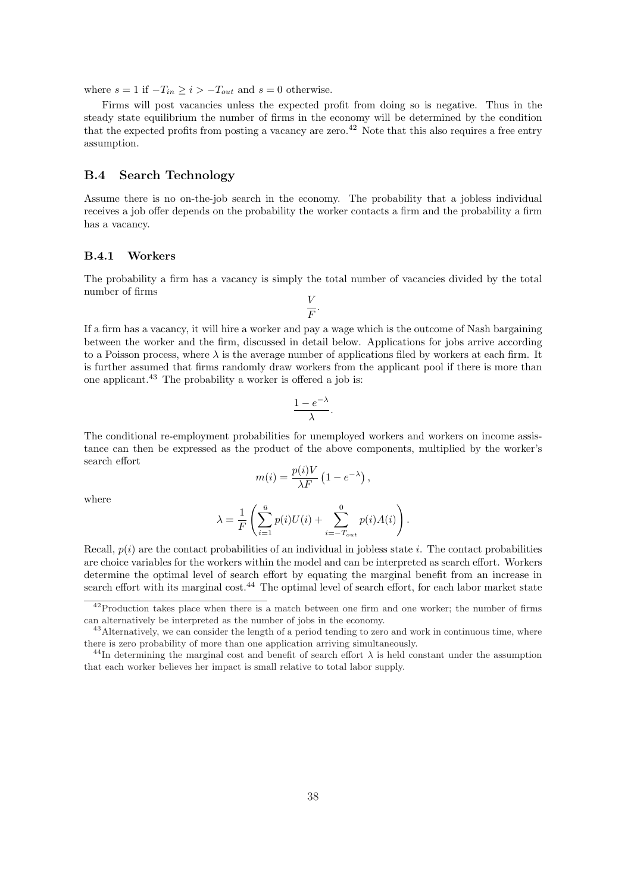where  $s = 1$  if  $-T_{in} \ge i > -T_{out}$  and  $s = 0$  otherwise.

Firms will post vacancies unless the expected profit from doing so is negative. Thus in the steady state equilibrium the number of firms in the economy will be determined by the condition that the expected profits from posting a vacancy are zero.<sup>42</sup> Note that this also requires a free entry assumption.

### B.4 Search Technology

Assume there is no on-the-job search in the economy. The probability that a jobless individual receives a job offer depends on the probability the worker contacts a firm and the probability a firm has a vacancy.

### B.4.1 Workers

The probability a firm has a vacancy is simply the total number of vacancies divided by the total number of firms

$$
\frac{V}{F}.
$$

If a firm has a vacancy, it will hire a worker and pay a wage which is the outcome of Nash bargaining between the worker and the firm, discussed in detail below. Applications for jobs arrive according to a Poisson process, where  $\lambda$  is the average number of applications filed by workers at each firm. It is further assumed that firms randomly draw workers from the applicant pool if there is more than one applicant.<sup>43</sup> The probability a worker is offered a job is:

$$
\frac{1-e^{-\lambda}}{\lambda}.
$$

The conditional re-employment probabilities for unemployed workers and workers on income assistance can then be expressed as the product of the above components, multiplied by the worker's search effort

$$
m(i) = \frac{p(i)V}{\lambda F} \left( 1 - e^{-\lambda} \right),
$$

where

$$
\lambda = \frac{1}{F} \left( \sum_{i=1}^{\bar{u}} p(i)U(i) + \sum_{i=-T_{out}}^{0} p(i)A(i) \right).
$$

Recall,  $p(i)$  are the contact probabilities of an individual in jobless state i. The contact probabilities are choice variables for the workers within the model and can be interpreted as search effort. Workers determine the optimal level of search effort by equating the marginal benefit from an increase in search effort with its marginal  $cost^{44}$ . The optimal level of search effort, for each labor market state

 $42$ Production takes place when there is a match between one firm and one worker; the number of firms can alternatively be interpreted as the number of jobs in the economy.

<sup>&</sup>lt;sup>43</sup> Alternatively, we can consider the length of a period tending to zero and work in continuous time, where there is zero probability of more than one application arriving simultaneously.

<sup>&</sup>lt;sup>44</sup>In determining the marginal cost and benefit of search effort  $\lambda$  is held constant under the assumption that each worker believes her impact is small relative to total labor supply.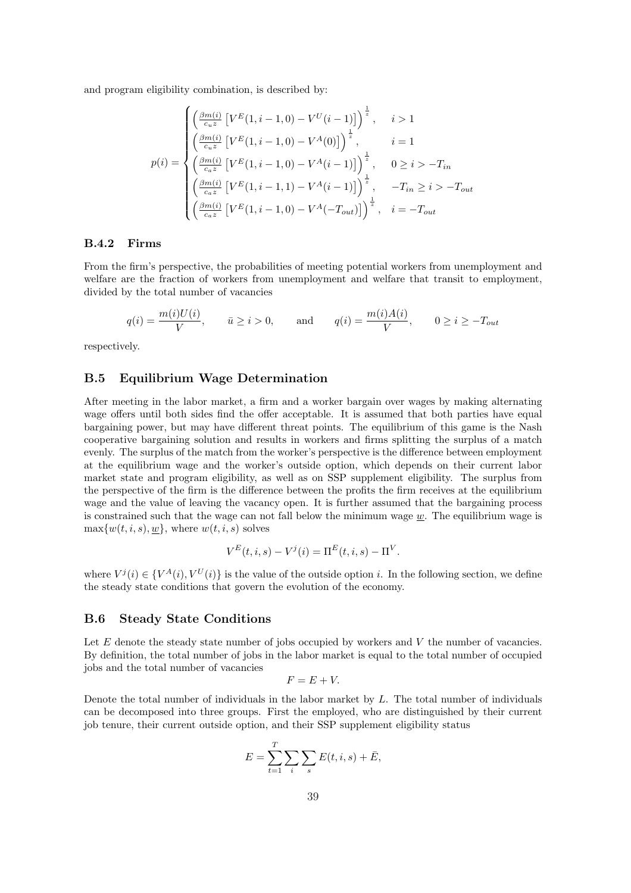and program eligibility combination, is described by:

$$
p(i) = \begin{cases} \left(\frac{\beta m(i)}{c_{u}z} \left[V^{E}(1, i-1, 0) - V^{U}(i-1)\right]\right)^{\frac{1}{z}}, & i > 1\\ \left(\frac{\beta m(i)}{c_{u}z} \left[V^{E}(1, i-1, 0) - V^{A}(0)\right]\right)^{\frac{1}{z}}, & i = 1\\ \left(\frac{\beta m(i)}{c_{a}z} \left[V^{E}(1, i-1, 0) - V^{A}(i-1)\right]\right)^{\frac{1}{z}}, & 0 \geq i > -T_{in}\\ \left(\frac{\beta m(i)}{c_{a}z} \left[V^{E}(1, i-1, 1) - V^{A}(i-1)\right]\right)^{\frac{1}{z}}, & -T_{in} \geq i > -T_{out}\\ \left(\frac{\beta m(i)}{c_{a}z} \left[V^{E}(1, i-1, 0) - V^{A}(-T_{out})\right]\right)^{\frac{1}{z}}, & i = -T_{out} \end{cases}
$$

### B.4.2 Firms

From the firm's perspective, the probabilities of meeting potential workers from unemployment and welfare are the fraction of workers from unemployment and welfare that transit to employment, divided by the total number of vacancies

$$
q(i) = \frac{m(i)U(i)}{V}, \quad \bar{u} \ge i > 0,
$$
 and  $q(i) = \frac{m(i)A(i)}{V}, \quad 0 \ge i \ge -T_{out}$ 

respectively.

### B.5 Equilibrium Wage Determination

After meeting in the labor market, a firm and a worker bargain over wages by making alternating wage offers until both sides find the offer acceptable. It is assumed that both parties have equal bargaining power, but may have different threat points. The equilibrium of this game is the Nash cooperative bargaining solution and results in workers and firms splitting the surplus of a match evenly. The surplus of the match from the worker's perspective is the difference between employment at the equilibrium wage and the worker's outside option, which depends on their current labor market state and program eligibility, as well as on SSP supplement eligibility. The surplus from the perspective of the firm is the difference between the profits the firm receives at the equilibrium wage and the value of leaving the vacancy open. It is further assumed that the bargaining process is constrained such that the wage can not fall below the minimum wage  $w$ . The equilibrium wage is  $\max\{w(t, i, s), w\}$ , where  $w(t, i, s)$  solves

$$
V^{E}(t, i, s) - V^{j}(i) = \Pi^{E}(t, i, s) - \Pi^{V}.
$$

where  $V^j(i) \in \{V^A(i), V^U(i)\}$  is the value of the outside option i. In the following section, we define the steady state conditions that govern the evolution of the economy.

### B.6 Steady State Conditions

Let  $E$  denote the steady state number of jobs occupied by workers and  $V$  the number of vacancies. By definition, the total number of jobs in the labor market is equal to the total number of occupied jobs and the total number of vacancies

$$
F = E + V.
$$

Denote the total number of individuals in the labor market by L. The total number of individuals can be decomposed into three groups. First the employed, who are distinguished by their current job tenure, their current outside option, and their SSP supplement eligibility status

$$
E = \sum_{t=1}^{T} \sum_{i} \sum_{s} E(t, i, s) + \bar{E},
$$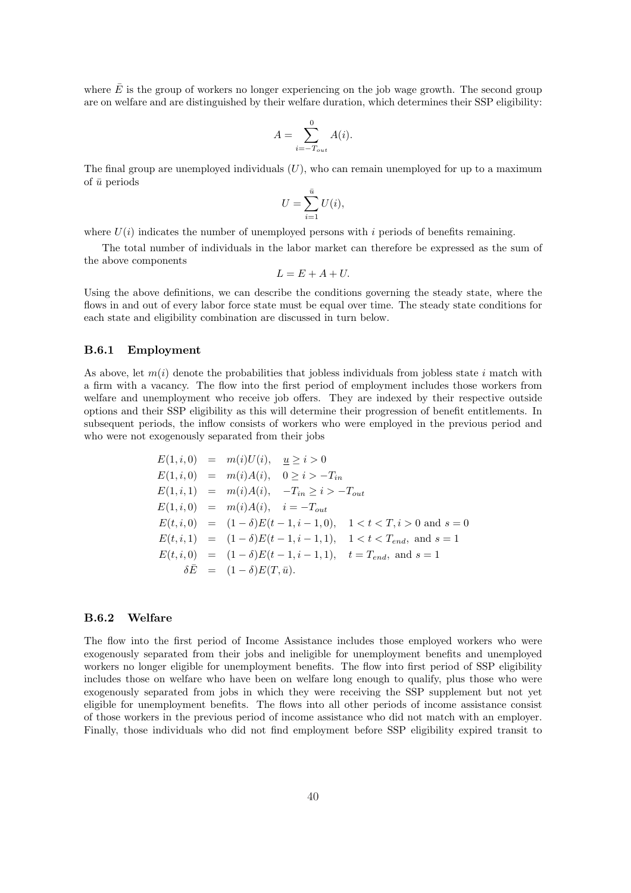where  $\bar{E}$  is the group of workers no longer experiencing on the job wage growth. The second group are on welfare and are distinguished by their welfare duration, which determines their SSP eligibility:

$$
A = \sum_{i=-T_{out}}^{0} A(i).
$$

The final group are unemployed individuals  $(U)$ , who can remain unemployed for up to a maximum of  $\bar{u}$  periods

$$
U = \sum_{i=1}^{\bar{u}} U(i),
$$

where  $U(i)$  indicates the number of unemployed persons with i periods of benefits remaining.

The total number of individuals in the labor market can therefore be expressed as the sum of the above components

$$
L = E + A + U.
$$

Using the above definitions, we can describe the conditions governing the steady state, where the flows in and out of every labor force state must be equal over time. The steady state conditions for each state and eligibility combination are discussed in turn below.

### B.6.1 Employment

As above, let  $m(i)$  denote the probabilities that jobless individuals from jobless state i match with a firm with a vacancy. The flow into the first period of employment includes those workers from welfare and unemployment who receive job offers. They are indexed by their respective outside options and their SSP eligibility as this will determine their progression of benefit entitlements. In subsequent periods, the inflow consists of workers who were employed in the previous period and who were not exogenously separated from their jobs

$$
E(1, i, 0) = m(i)U(i), \quad \underline{u} \geq i > 0
$$
  
\n
$$
E(1, i, 0) = m(i)A(i), \quad 0 \geq i > -T_{in}
$$
  
\n
$$
E(1, i, 1) = m(i)A(i), \quad -T_{in} \geq i > -T_{out}
$$
  
\n
$$
E(1, i, 0) = m(i)A(i), \quad i = -T_{out}
$$
  
\n
$$
E(t, i, 0) = (1 - \delta)E(t - 1, i - 1, 0), \quad 1 < t < T, i > 0 \text{ and } s = 0
$$
  
\n
$$
E(t, i, 1) = (1 - \delta)E(t - 1, i - 1, 1), \quad 1 < t < T_{end}, \text{ and } s = 1
$$
  
\n
$$
E(t, i, 0) = (1 - \delta)E(t - 1, i - 1, 1), \quad t = T_{end}, \text{ and } s = 1
$$
  
\n
$$
\delta \overline{E} = (1 - \delta)E(T, \overline{u}).
$$

### B.6.2 Welfare

The flow into the first period of Income Assistance includes those employed workers who were exogenously separated from their jobs and ineligible for unemployment benefits and unemployed workers no longer eligible for unemployment benefits. The flow into first period of SSP eligibility includes those on welfare who have been on welfare long enough to qualify, plus those who were exogenously separated from jobs in which they were receiving the SSP supplement but not yet eligible for unemployment benefits. The flows into all other periods of income assistance consist of those workers in the previous period of income assistance who did not match with an employer. Finally, those individuals who did not find employment before SSP eligibility expired transit to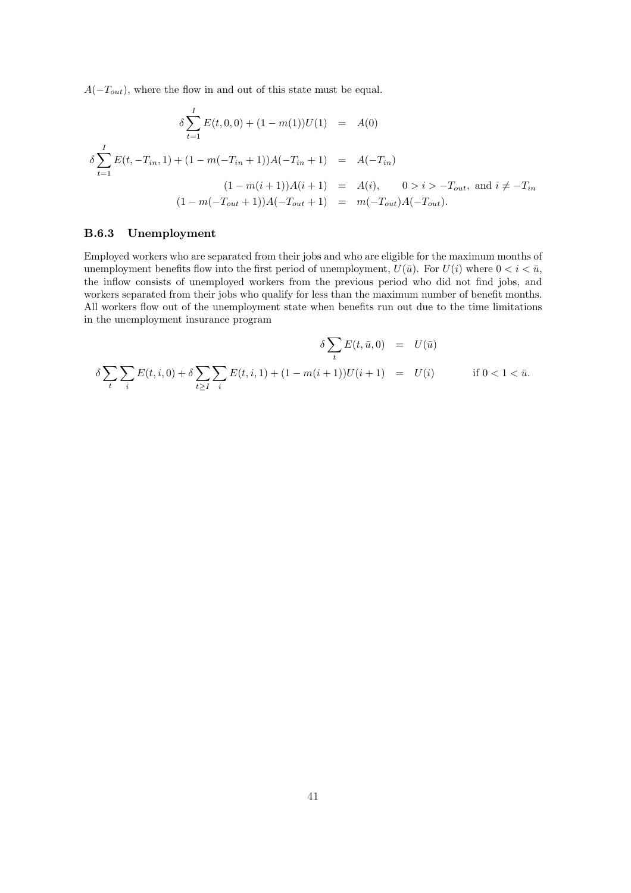$A(-T_{out})$ , where the flow in and out of this state must be equal.

$$
\delta \sum_{t=1}^{I} E(t, 0, 0) + (1 - m(1))U(1) = A(0)
$$
  

$$
\delta \sum_{t=1}^{I} E(t, -T_{in}, 1) + (1 - m(-T_{in} + 1))A(-T_{in} + 1) = A(-T_{in})
$$
  

$$
(1 - m(i + 1))A(i + 1) = A(i), \qquad 0 > i > -T_{out}, \text{ and } i \neq -T_{in}
$$
  

$$
(1 - m(-T_{out} + 1))A(-T_{out} + 1) = m(-T_{out})A(-T_{out}).
$$

### B.6.3 Unemployment

Employed workers who are separated from their jobs and who are eligible for the maximum months of unemployment benefits flow into the first period of unemployment,  $U(\bar{u})$ . For  $U(i)$  where  $0 < i < \bar{u}$ , the inflow consists of unemployed workers from the previous period who did not find jobs, and workers separated from their jobs who qualify for less than the maximum number of benefit months. All workers flow out of the unemployment state when benefits run out due to the time limitations in the unemployment insurance program

$$
\delta \sum_{t} E(t, \bar{u}, 0) = U(\bar{u})
$$
  

$$
\delta \sum_{t} \sum_{i} E(t, i, 0) + \delta \sum_{t \ge 1} \sum_{i} E(t, i, 1) + (1 - m(i + 1))U(i + 1) = U(i)
$$
if  $0 < 1 < \bar{u}$ .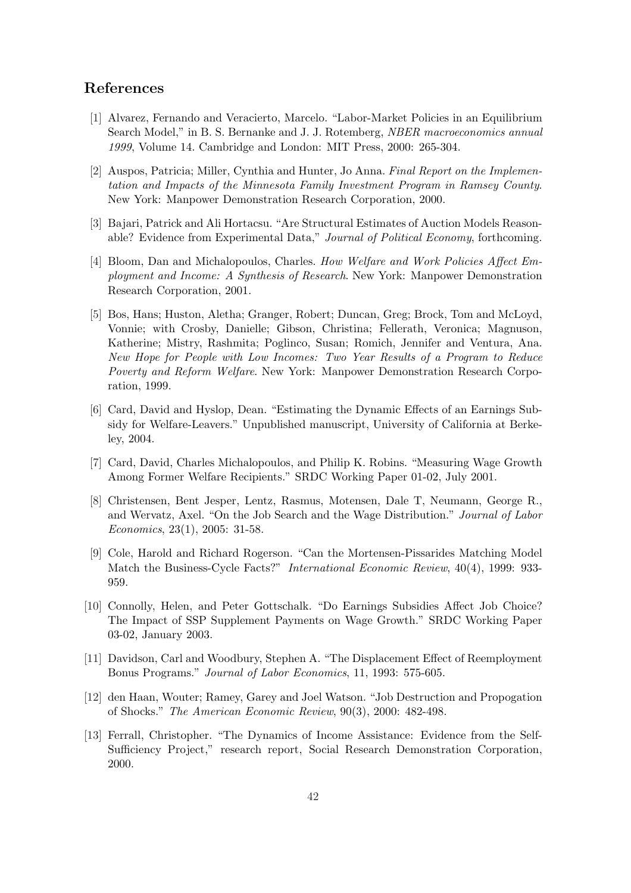### References

- [1] Alvarez, Fernando and Veracierto, Marcelo. "Labor-Market Policies in an Equilibrium Search Model," in B. S. Bernanke and J. J. Rotemberg, NBER macroeconomics annual 1999, Volume 14. Cambridge and London: MIT Press, 2000: 265-304.
- [2] Auspos, Patricia; Miller, Cynthia and Hunter, Jo Anna. Final Report on the Implementation and Impacts of the Minnesota Family Investment Program in Ramsey County. New York: Manpower Demonstration Research Corporation, 2000.
- [3] Bajari, Patrick and Ali Hortacsu. "Are Structural Estimates of Auction Models Reasonable? Evidence from Experimental Data," Journal of Political Economy, forthcoming.
- [4] Bloom, Dan and Michalopoulos, Charles. How Welfare and Work Policies Affect Employment and Income: A Synthesis of Research. New York: Manpower Demonstration Research Corporation, 2001.
- [5] Bos, Hans; Huston, Aletha; Granger, Robert; Duncan, Greg; Brock, Tom and McLoyd, Vonnie; with Crosby, Danielle; Gibson, Christina; Fellerath, Veronica; Magnuson, Katherine; Mistry, Rashmita; Poglinco, Susan; Romich, Jennifer and Ventura, Ana. New Hope for People with Low Incomes: Two Year Results of a Program to Reduce Poverty and Reform Welfare. New York: Manpower Demonstration Research Corporation, 1999.
- [6] Card, David and Hyslop, Dean. "Estimating the Dynamic Effects of an Earnings Subsidy for Welfare-Leavers." Unpublished manuscript, University of California at Berkeley, 2004.
- [7] Card, David, Charles Michalopoulos, and Philip K. Robins. "Measuring Wage Growth Among Former Welfare Recipients." SRDC Working Paper 01-02, July 2001.
- [8] Christensen, Bent Jesper, Lentz, Rasmus, Motensen, Dale T, Neumann, George R., and Wervatz, Axel. "On the Job Search and the Wage Distribution." Journal of Labor Economics, 23(1), 2005: 31-58.
- [9] Cole, Harold and Richard Rogerson. "Can the Mortensen-Pissarides Matching Model Match the Business-Cycle Facts?" International Economic Review, 40(4), 1999: 933- 959.
- [10] Connolly, Helen, and Peter Gottschalk. "Do Earnings Subsidies Affect Job Choice? The Impact of SSP Supplement Payments on Wage Growth." SRDC Working Paper 03-02, January 2003.
- [11] Davidson, Carl and Woodbury, Stephen A. "The Displacement Effect of Reemployment Bonus Programs." Journal of Labor Economics, 11, 1993: 575-605.
- [12] den Haan, Wouter; Ramey, Garey and Joel Watson. "Job Destruction and Propogation of Shocks." The American Economic Review, 90(3), 2000: 482-498.
- [13] Ferrall, Christopher. "The Dynamics of Income Assistance: Evidence from the Self-Sufficiency Project," research report, Social Research Demonstration Corporation, 2000.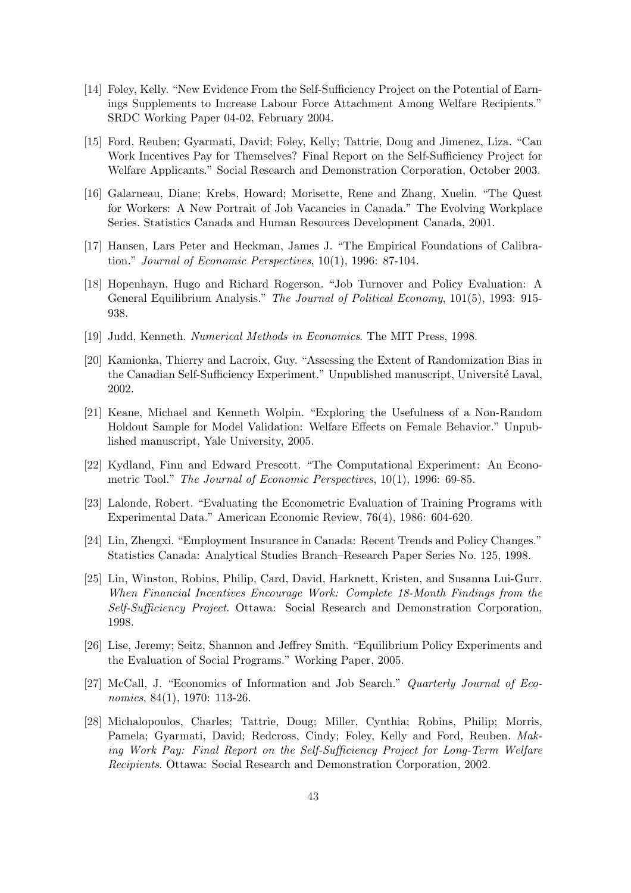- [14] Foley, Kelly. "New Evidence From the Self-Sufficiency Project on the Potential of Earnings Supplements to Increase Labour Force Attachment Among Welfare Recipients." SRDC Working Paper 04-02, February 2004.
- [15] Ford, Reuben; Gyarmati, David; Foley, Kelly; Tattrie, Doug and Jimenez, Liza. "Can Work Incentives Pay for Themselves? Final Report on the Self-Sufficiency Project for Welfare Applicants." Social Research and Demonstration Corporation, October 2003.
- [16] Galarneau, Diane; Krebs, Howard; Morisette, Rene and Zhang, Xuelin. "The Quest for Workers: A New Portrait of Job Vacancies in Canada." The Evolving Workplace Series. Statistics Canada and Human Resources Development Canada, 2001.
- [17] Hansen, Lars Peter and Heckman, James J. "The Empirical Foundations of Calibration." Journal of Economic Perspectives, 10(1), 1996: 87-104.
- [18] Hopenhayn, Hugo and Richard Rogerson. "Job Turnover and Policy Evaluation: A General Equilibrium Analysis." The Journal of Political Economy, 101(5), 1993: 915- 938.
- [19] Judd, Kenneth. Numerical Methods in Economics. The MIT Press, 1998.
- [20] Kamionka, Thierry and Lacroix, Guy. "Assessing the Extent of Randomization Bias in the Canadian Self-Sufficiency Experiment." Unpublished manuscript, Université Laval, 2002.
- [21] Keane, Michael and Kenneth Wolpin. "Exploring the Usefulness of a Non-Random Holdout Sample for Model Validation: Welfare Effects on Female Behavior." Unpublished manuscript, Yale University, 2005.
- [22] Kydland, Finn and Edward Prescott. "The Computational Experiment: An Econometric Tool." The Journal of Economic Perspectives, 10(1), 1996: 69-85.
- [23] Lalonde, Robert. "Evaluating the Econometric Evaluation of Training Programs with Experimental Data." American Economic Review, 76(4), 1986: 604-620.
- [24] Lin, Zhengxi. "Employment Insurance in Canada: Recent Trends and Policy Changes." Statistics Canada: Analytical Studies Branch–Research Paper Series No. 125, 1998.
- [25] Lin, Winston, Robins, Philip, Card, David, Harknett, Kristen, and Susanna Lui-Gurr. When Financial Incentives Encourage Work: Complete 18-Month Findings from the Self-Sufficiency Project. Ottawa: Social Research and Demonstration Corporation, 1998.
- [26] Lise, Jeremy; Seitz, Shannon and Jeffrey Smith. "Equilibrium Policy Experiments and the Evaluation of Social Programs." Working Paper, 2005.
- [27] McCall, J. "Economics of Information and Job Search." Quarterly Journal of Economics, 84(1), 1970: 113-26.
- [28] Michalopoulos, Charles; Tattrie, Doug; Miller, Cynthia; Robins, Philip; Morris, Pamela; Gyarmati, David; Redcross, Cindy; Foley, Kelly and Ford, Reuben. Making Work Pay: Final Report on the Self-Sufficiency Project for Long-Term Welfare Recipients. Ottawa: Social Research and Demonstration Corporation, 2002.